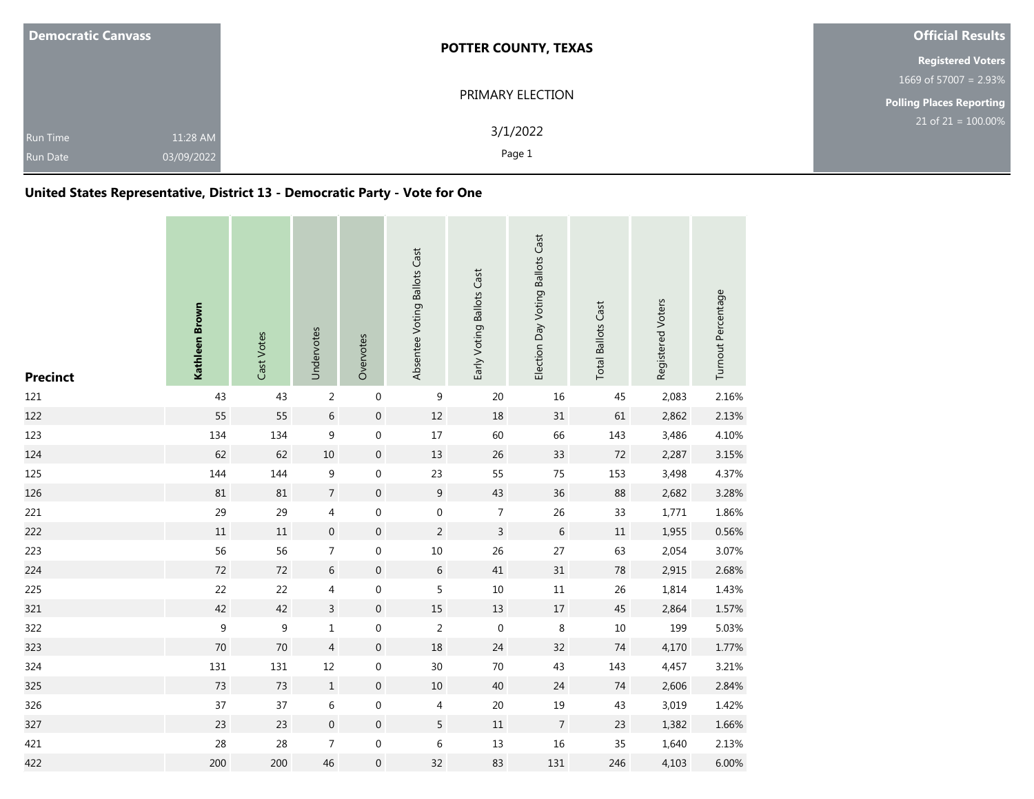| <b>Democratic Canvass</b>          |                        | <b>POTTER COUNTY, TEXAS</b> | <b>Official Results</b>         |
|------------------------------------|------------------------|-----------------------------|---------------------------------|
|                                    |                        |                             | <b>Registered Voters</b>        |
|                                    |                        |                             | 1669 of 57007 = $2.93\%$        |
|                                    |                        | PRIMARY ELECTION            | <b>Polling Places Reporting</b> |
| <b>Run Time</b><br><b>Run Date</b> | 11:28 AM<br>03/09/2022 | 3/1/2022<br>Page 1          | $21$ of $21 = 100.00\%$         |

## **United States Representative, District 13 - Democratic Party - Vote for One**

| <b>Precinct</b> | Kathleen Brown   | Cast Votes | Undervotes       | Overvotes        | Absentee Voting Ballots Cast | Early Voting Ballots Cast | Election Day Voting Ballots Cast | <b>Total Ballots Cast</b> | Registered Voters | Turnout Percentage |
|-----------------|------------------|------------|------------------|------------------|------------------------------|---------------------------|----------------------------------|---------------------------|-------------------|--------------------|
| 121             | 43               | 43         | $\overline{2}$   | $\boldsymbol{0}$ | 9                            | 20                        | 16                               | 45                        | 2,083             | 2.16%              |
| 122             | 55               | 55         | $\sqrt{6}$       | $\boldsymbol{0}$ | 12                           | $18\,$                    | 31                               | 61                        | 2,862             | 2.13%              |
| 123             | 134              | 134        | 9                | $\boldsymbol{0}$ | 17                           | 60                        | 66                               | 143                       | 3,486             | 4.10%              |
| 124             | 62               | 62         | $10\,$           | $\boldsymbol{0}$ | 13                           | 26                        | 33                               | $72\,$                    | 2,287             | 3.15%              |
| 125             | 144              | 144        | 9                | $\boldsymbol{0}$ | 23                           | 55                        | 75                               | 153                       | 3,498             | 4.37%              |
| 126             | 81               | 81         | $\overline{7}$   | $\boldsymbol{0}$ | $\overline{9}$               | 43                        | 36                               | 88                        | 2,682             | 3.28%              |
| 221             | 29               | 29         | 4                | $\boldsymbol{0}$ | $\boldsymbol{0}$             | $\overline{7}$            | 26                               | 33                        | 1,771             | 1.86%              |
| 222             | $11\,$           | $11\,$     | $\boldsymbol{0}$ | $\mathbf 0$      | $\overline{2}$               | $\overline{3}$            | 6                                | 11                        | 1,955             | 0.56%              |
| 223             | 56               | 56         | $\overline{7}$   | $\boldsymbol{0}$ | $10\,$                       | 26                        | 27                               | 63                        | 2,054             | 3.07%              |
| 224             | 72               | 72         | 6                | $\mathbf 0$      | 6                            | 41                        | 31                               | 78                        | 2,915             | 2.68%              |
| 225             | 22               | 22         | 4                | $\boldsymbol{0}$ | 5                            | 10                        | $11\,$                           | 26                        | 1,814             | 1.43%              |
| 321             | 42               | 42         | $\overline{3}$   | $\boldsymbol{0}$ | 15                           | 13                        | $17\,$                           | $45\,$                    | 2,864             | 1.57%              |
| 322             | $\boldsymbol{9}$ | 9          | $\mathbf{1}$     | $\boldsymbol{0}$ | $\sqrt{2}$                   | $\mathbf 0$               | $\,8\,$                          | $10\,$                    | 199               | 5.03%              |
| 323             | 70               | $70\,$     | $\overline{4}$   | $\boldsymbol{0}$ | 18                           | 24                        | 32                               | $74$                      | 4,170             | 1.77%              |
| 324             | 131              | 131        | $12\,$           | 0                | 30                           | 70                        | 43                               | 143                       | 4,457             | 3.21%              |
| 325             | 73               | 73         | $\,1\,$          | $\boldsymbol{0}$ | $10\,$                       | 40                        | 24                               | 74                        | 2,606             | 2.84%              |
| 326             | 37               | 37         | 6                | $\boldsymbol{0}$ | 4                            | 20                        | 19                               | 43                        | 3,019             | 1.42%              |
| 327             | 23               | 23         | $\boldsymbol{0}$ | $\boldsymbol{0}$ | 5                            | $11\,$                    | $\overline{7}$                   | 23                        | 1,382             | 1.66%              |
| 421             | 28               | 28         | $\overline{7}$   | $\boldsymbol{0}$ | 6                            | 13                        | 16                               | 35                        | 1,640             | 2.13%              |
| 422             | 200              | 200        | 46               | $\boldsymbol{0}$ | 32                           | 83                        | 131                              | 246                       | 4,103             | 6.00%              |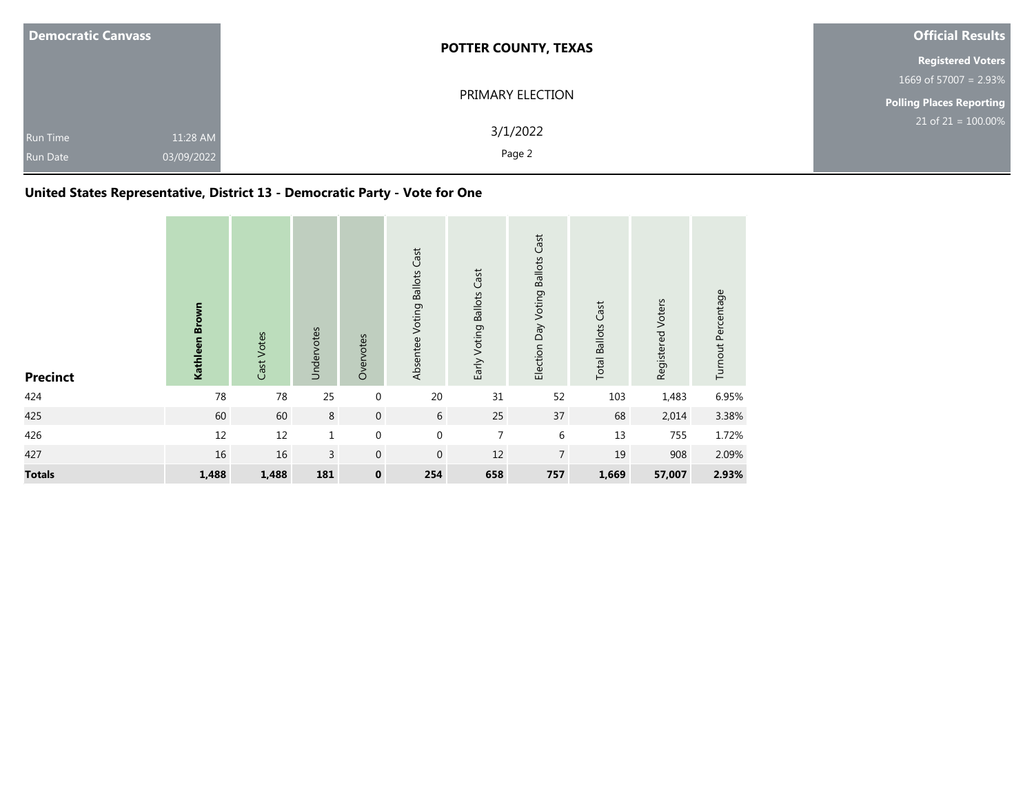| <b>Democratic Canvass</b>          |                        | <b>POTTER COUNTY, TEXAS</b> | <b>Official Results</b>  |
|------------------------------------|------------------------|-----------------------------|--------------------------|
|                                    |                        |                             | <b>Registered Voters</b> |
|                                    |                        |                             | 1669 of 57007 = $2.93\%$ |
|                                    |                        | PRIMARY ELECTION            | Polling Places Reporting |
| <b>Run Time</b><br><b>Run Date</b> | 11:28 AM<br>03/09/2022 | 3/1/2022<br>Page 2          | $21$ of $21 = 100.00\%$  |

## **United States Representative, District 13 - Democratic Party - Vote for One**

| <b>Precinct</b> | Kathleen Brown | Cast Votes | Undervotes     | Overvotes        | Absentee Voting Ballots Cast | Early Voting Ballots Cast | Election Day Voting Ballots Cast | <b>Total Ballots Cast</b> | Registered Voters | Turnout Percentage |
|-----------------|----------------|------------|----------------|------------------|------------------------------|---------------------------|----------------------------------|---------------------------|-------------------|--------------------|
| 424             | 78             | 78         | 25             | $\mathbf 0$      | 20                           | 31                        | 52                               | 103                       | 1,483             | 6.95%              |
| 425             | 60             | 60         | 8              | $\mathbf 0$      | 6                            | 25                        | 37                               | 68                        | 2,014             | 3.38%              |
| 426             | 12             | $12\,$     | $\mathbf{1}$   | $\boldsymbol{0}$ | $\mathbf 0$                  | $\overline{7}$            | $6\,$                            | 13                        | 755               | 1.72%              |
| 427             | 16             | 16         | $\overline{3}$ | $\mathbf 0$      | $\mathbf 0$                  | 12                        | $\overline{7}$                   | 19                        | 908               | 2.09%              |
| <b>Totals</b>   | 1,488          | 1,488      | 181            | $\pmb{0}$        | 254                          | 658                       | 757                              | 1,669                     | 57,007            | 2.93%              |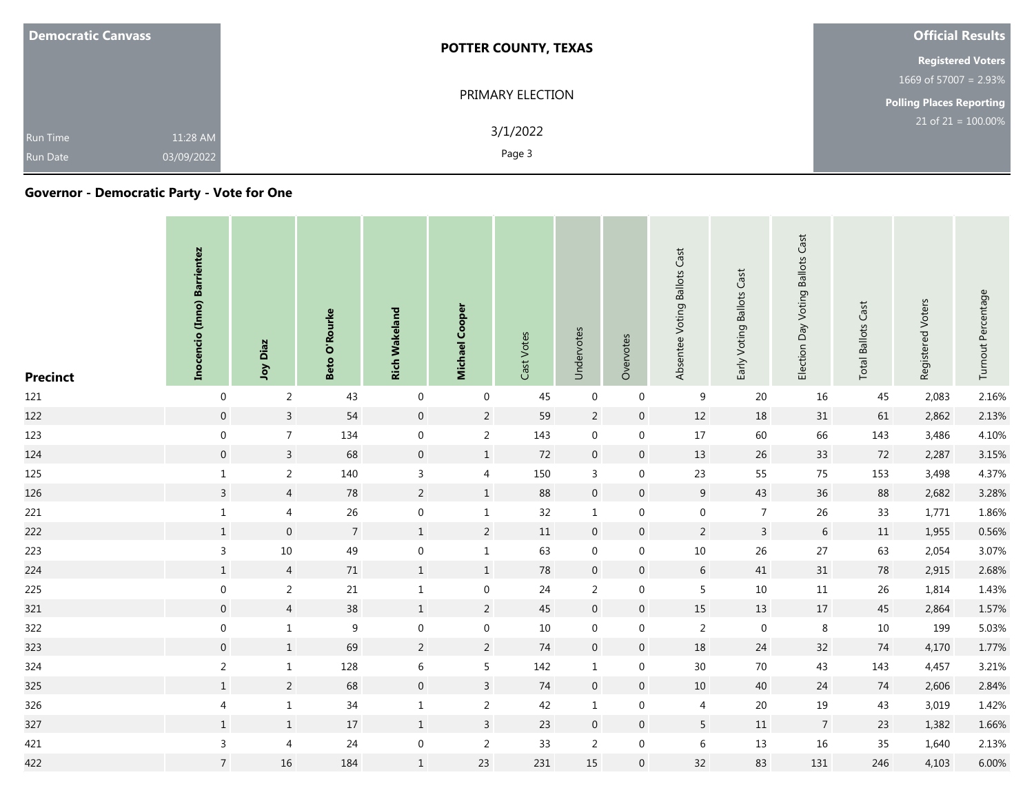| <b>Democratic Canvass</b>          |                        | <b>POTTER COUNTY, TEXAS</b> | <b>Official Results</b>         |
|------------------------------------|------------------------|-----------------------------|---------------------------------|
|                                    |                        |                             | <b>Registered Voters</b>        |
|                                    |                        |                             | 1669 of 57007 = $2.93\%$        |
|                                    |                        | PRIMARY ELECTION            | <b>Polling Places Reporting</b> |
| <b>Run Time</b><br><b>Run Date</b> | 11:28 AM<br>03/09/2022 | 3/1/2022<br>Page 3          | $21$ of $21 = 100.00\%$         |

## **Governor - Democratic Party - Vote for One**

| <b>Precinct</b> | Inocencio (Inno) Barrientez | Diaz<br>Yor      | O'Rourke<br>Beto | <b>Rich Wakeland</b> | Cooper<br><b>Michael</b> | Cast Votes | Undervotes          | Overvotes      | Absentee Voting Ballots Cast | Early Voting Ballots Cast | <b>Ballots Cast</b><br>Election Day Voting | Cast<br><b>Total Ballots</b> | Registered Voters | Turnout Percentage |
|-----------------|-----------------------------|------------------|------------------|----------------------|--------------------------|------------|---------------------|----------------|------------------------------|---------------------------|--------------------------------------------|------------------------------|-------------------|--------------------|
| 121             | $\mathbf 0$                 | 2                | 43               | $\mathbf 0$          | $\mathbf 0$              | 45         | $\mathbf 0$         | $\mathbf 0$    | 9                            | 20                        | 16                                         | 45                           | 2,083             | 2.16%              |
| 122             | $\mathsf{O}\xspace$         | $\overline{3}$   | 54               | $\mathbf 0$          | $\overline{2}$           | 59         | $\overline{2}$      | $\mathbf 0$    | 12                           | 18                        | 31                                         | 61                           | 2,862             | 2.13%              |
| 123             | $\mathbf 0$                 | $\overline{7}$   | 134              | $\mathbf 0$          | $\overline{2}$           | 143        | $\mathsf{O}\xspace$ | 0              | 17                           | 60                        | 66                                         | 143                          | 3,486             | 4.10%              |
| 124             | $\boldsymbol{0}$            | $\overline{3}$   | 68               | $\boldsymbol{0}$     | $\mathbf{1}$             | 72         | $\boldsymbol{0}$    | $\mathbf 0$    | 13                           | 26                        | 33                                         | 72                           | 2,287             | 3.15%              |
| 125             | $\mathbf{1}$                | $\overline{2}$   | 140              | $\mathbf{3}$         | $\overline{4}$           | 150        | $\mathbf{3}$        | $\mathbf 0$    | 23                           | 55                        | 75                                         | 153                          | 3,498             | 4.37%              |
| 126             | $\mathbf{3}$                | $\overline{4}$   | 78               | $\overline{2}$       | $\mathbf{1}$             | 88         | $\mathbf 0$         | $\mathbf 0$    | 9                            | 43                        | 36                                         | 88                           | 2,682             | 3.28%              |
| 221             | $\mathbf{1}$                | $\overline{4}$   | 26               | $\boldsymbol{0}$     | $\mathbf{1}$             | 32         | $\mathbf{1}$        | $\mathbf 0$    | $\boldsymbol{0}$             | $\overline{7}$            | 26                                         | 33                           | 1,771             | 1.86%              |
| 222             | $1\,$                       | $\boldsymbol{0}$ | $7\overline{ }$  | $1\,$                | $\overline{2}$           | 11         | $\mathbf 0$         | $\overline{0}$ | $\overline{2}$               | $\mathbf{3}$              | $6\phantom{.}6$                            | 11                           | 1,955             | 0.56%              |
| 223             | $\mathsf{3}$                | $10\,$           | 49               | $\boldsymbol{0}$     | $\mathbf{1}$             | 63         | $\mathbf 0$         | 0              | $10\,$                       | 26                        | 27                                         | 63                           | 2,054             | 3.07%              |
| 224             | $1\,$                       | $\overline{4}$   | $71\,$           | $1\,$                | $1\,$                    | 78         | $\mathbf 0$         | $\mathbf 0$    | $\sqrt{6}$                   | 41                        | 31                                         | 78                           | 2,915             | 2.68%              |
| 225             | $\mathbf 0$                 | $\overline{2}$   | 21               | $\mathbf{1}$         | $\mathbf 0$              | 24         | 2                   | 0              | 5                            | 10                        | 11                                         | 26                           | 1,814             | 1.43%              |
| 321             | $\mathbf 0$                 | $\overline{4}$   | 38               | $1\,$                | $\overline{2}$           | 45         | $\mathbf 0$         | $\mathbf 0$    | 15                           | 13                        | 17                                         | 45                           | 2,864             | 1.57%              |
| 322             | $\mathbf 0$                 | $\mathbf{1}$     | 9                | $\mathbf 0$          | $\mathbf 0$              | 10         | $\mathbf 0$         | 0              | $\overline{2}$               | $\mathbf 0$               | 8                                          | 10                           | 199               | 5.03%              |
| 323             | $\mathbf 0$                 | $\mathbf{1}$     | 69               | $\overline{2}$       | $\overline{2}$           | 74         | $\mathbf 0$         | $\overline{0}$ | 18                           | 24                        | 32                                         | 74                           | 4,170             | 1.77%              |
| 324             | $\overline{2}$              | $\mathbf{1}$     | 128              | $\,$ 6 $\,$          | 5 <sub>5</sub>           | 142        | $\mathbf{1}$        | $\mathbf 0$    | 30 <sup>°</sup>              | 70                        | 43                                         | 143                          | 4,457             | 3.21%              |
| 325             | $\,1\,$                     | $\overline{2}$   | 68               | $\boldsymbol{0}$     | $\mathbf{3}$             | 74         | $\mathbf 0$         | $\mathbf 0$    | $10\,$                       | 40                        | 24                                         | 74                           | 2,606             | 2.84%              |
| 326             | $\overline{4}$              | $\mathbf{1}$     | 34               | $\mathbf{1}$         | $\overline{2}$           | 42         | $\mathbf{1}$        | $\mathbf 0$    | $\overline{4}$               | 20                        | 19                                         | 43                           | 3,019             | 1.42%              |
| 327             | $1\,$                       | $1\,$            | 17               | $1\,$                | $\overline{3}$           | 23         | $\mathbf 0$         | $\overline{0}$ | $5\phantom{.0}$              | 11                        | $7\overline{ }$                            | 23                           | 1,382             | 1.66%              |
| 421             | $\mathsf{3}$                | $\overline{4}$   | 24               | $\boldsymbol{0}$     | $\overline{2}$           | 33         | $\overline{2}$      | 0              | $\,$ 6 $\,$                  | $13\,$                    | 16                                         | 35                           | 1,640             | 2.13%              |
| 422             | $7\overline{ }$             | 16               | 184              | $\mathbf{1}$         | 23                       | 231        | 15                  | $\mathbf{0}$   | 32                           | 83                        | 131                                        | 246                          | 4,103             | 6.00%              |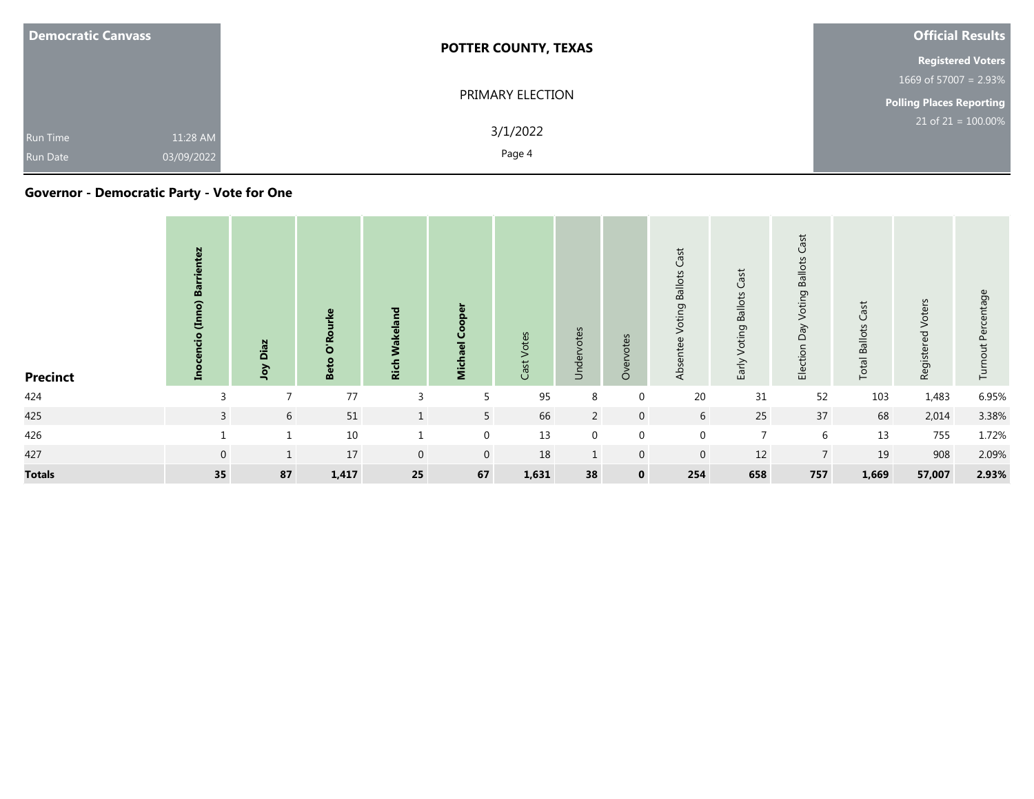| <b>Democratic Canvass</b>                                    | <b>POTTER COUNTY, TEXAS</b> | <b>Official Results</b>         |
|--------------------------------------------------------------|-----------------------------|---------------------------------|
|                                                              |                             | <b>Registered Voters</b>        |
|                                                              |                             | 1669 of 57007 = $2.93\%$        |
|                                                              | PRIMARY ELECTION            | <b>Polling Places Reporting</b> |
| 11:28 AM<br><b>Run Time</b><br>03/09/2022<br><b>Run Date</b> | 3/1/2022<br>Page 4          | $21$ of $21 = 100.00\%$         |

## **Governor - Democratic Party - Vote for One**

| <b>Precinct</b> | Σç<br>m<br>Ē<br>톱 | Diaz<br>Yor     | $\overline{\mathbf{o}}$<br><b>Be</b> | 겯<br>š<br>Rich | $\overline{\mathbf{z}}$ | Votes<br>Cast <sup>-</sup> | Undervotes     | Overvotes      | Cast<br><b>Ballots</b><br>Voting<br>Absentee | Voting Ballots Cast<br>Early | Cast<br><b>Ballots</b><br>oting<br>⋝<br>Veq<br>Election | ast<br>$\cup$<br><b>Total Ballots</b> | Voters<br>Registered | Percentage<br>Turnout |
|-----------------|-------------------|-----------------|--------------------------------------|----------------|-------------------------|----------------------------|----------------|----------------|----------------------------------------------|------------------------------|---------------------------------------------------------|---------------------------------------|----------------------|-----------------------|
| 424             | $\overline{3}$    | $\overline{7}$  | $77$                                 | 3              | 5                       | 95                         | 8              | 0              | $20\,$                                       | 31                           | 52                                                      | 103                                   | 1,483                | 6.95%                 |
| 425             | $\overline{3}$    | $6\overline{6}$ | 51                                   | $\mathbf{1}$   | 5 <sup>1</sup>          | 66                         | $\overline{2}$ | $\overline{0}$ | $6\overline{6}$                              | 25                           | 37                                                      | 68                                    | 2,014                | 3.38%                 |
| 426             |                   |                 | 10                                   |                | $\mathbf{0}$            | 13                         | $\mathbf 0$    | $\mathbf{0}$   | $\mathbf 0$                                  | $\overline{7}$               | 6                                                       | 13                                    | 755                  | 1.72%                 |
| 427             | $\mathbf 0$       | $\mathbf{1}$    | 17                                   | $\mathbf 0$    | $\overline{0}$          | 18                         | $\mathbf{1}$   | $\mathbf 0$    | $\overline{0}$                               | 12                           | 7 <sup>1</sup>                                          | 19                                    | 908                  | 2.09%                 |
| <b>Totals</b>   | 35                | 87              | 1,417                                | 25             | 67                      | 1,631                      | 38             | $\mathbf 0$    | 254                                          | 658                          | 757                                                     | 1,669                                 | 57,007               | 2.93%                 |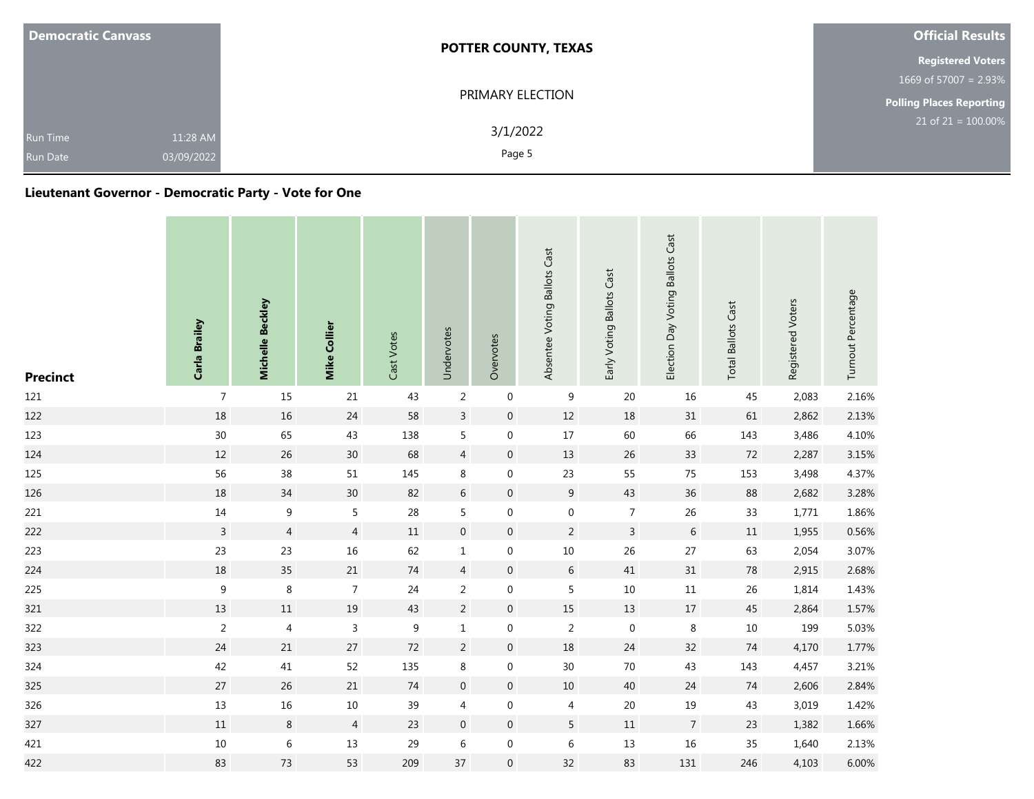| <b>Democratic Canvass</b>                                    | <b>POTTER COUNTY, TEXAS</b> | <b>Official Results</b>            |
|--------------------------------------------------------------|-----------------------------|------------------------------------|
|                                                              |                             | <b>Registered Voters</b>           |
|                                                              |                             | 1669 of 57007 = $2.93\%$           |
|                                                              | PRIMARY ELECTION            | <b>Polling Places Reporting</b>    |
| 11:28 AM<br><b>Run Time</b><br>03/09/2022<br><b>Run Date</b> | 3/1/2022<br>Page 5          | $21$ of 21 = $\overline{100.00\%}$ |

## **Lieutenant Governor - Democratic Party - Vote for One**

| <b>Precinct</b> | Carla Brailey  | Michelle Beckley | Mike Collier   | Cast Votes | Undervotes       | Overvotes        | Absentee Voting Ballots Cast | Early Voting Ballots Cast | Election Day Voting Ballots Cast | <b>Total Ballots Cast</b> | Registered Voters | Turnout Percentage |
|-----------------|----------------|------------------|----------------|------------|------------------|------------------|------------------------------|---------------------------|----------------------------------|---------------------------|-------------------|--------------------|
| 121             | $\overline{7}$ | 15               | 21             | 43         | $\overline{2}$   | $\boldsymbol{0}$ | $\boldsymbol{9}$             | 20                        | $16\,$                           | 45                        | 2,083             | 2.16%              |
| 122             | 18             | $16\,$           | 24             | 58         | $\mathsf{3}$     | $\boldsymbol{0}$ | $12\,$                       | 18                        | 31                               | 61                        | 2,862             | 2.13%              |
| 123             | 30             | 65               | 43             | 138        | 5                | $\boldsymbol{0}$ | 17                           | 60                        | 66                               | 143                       | 3,486             | 4.10%              |
| 124             | 12             | 26               | $30\,$         | 68         | $\overline{4}$   | $\boldsymbol{0}$ | 13                           | $26\,$                    | 33                               | $72\,$                    | 2,287             | 3.15%              |
| 125             | 56             | 38               | 51             | 145        | 8                | $\boldsymbol{0}$ | 23                           | 55                        | 75                               | 153                       | 3,498             | 4.37%              |
| 126             | 18             | 34               | $30\,$         | 82         | $6\,$            | $\boldsymbol{0}$ | 9                            | 43                        | 36                               | 88                        | 2,682             | 3.28%              |
| 221             | $14\,$         | $\boldsymbol{9}$ | 5              | 28         | 5                | $\boldsymbol{0}$ | $\boldsymbol{0}$             | $\overline{7}$            | 26                               | 33                        | 1,771             | 1.86%              |
| 222             | $\overline{3}$ | $\overline{4}$   | $\overline{4}$ | 11         | $\boldsymbol{0}$ | $\boldsymbol{0}$ | $\overline{2}$               | $\overline{3}$            | 6                                | $11\,$                    | 1,955             | 0.56%              |
| 223             | 23             | 23               | $16\,$         | 62         | $\mathbf 1$      | $\boldsymbol{0}$ | $10\,$                       | 26                        | 27                               | 63                        | 2,054             | 3.07%              |
| 224             | 18             | $35\,$           | 21             | $74\,$     | $\overline{4}$   | $\boldsymbol{0}$ | $\sqrt{6}$                   | 41                        | 31                               | $78\,$                    | 2,915             | 2.68%              |
| 225             | $\mathsf g$    | $\,8\,$          | $\overline{7}$ | 24         | $\overline{2}$   | $\boldsymbol{0}$ | 5                            | 10                        | $11\,$                           | 26                        | 1,814             | 1.43%              |
| 321             | 13             | $11\,$           | $19\,$         | 43         | $\overline{c}$   | $\boldsymbol{0}$ | $15\,$                       | 13                        | $17\,$                           | $45\,$                    | 2,864             | 1.57%              |
| 322             | $\overline{2}$ | $\overline{4}$   | 3              | 9          | $\mathbf 1$      | $\boldsymbol{0}$ | $\overline{2}$               | $\pmb{0}$                 | $\,8\,$                          | $10\,$                    | 199               | 5.03%              |
| 323             | 24             | 21               | $27\,$         | $72$       | $\overline{2}$   | $\boldsymbol{0}$ | 18                           | 24                        | 32                               | 74                        | 4,170             | 1.77%              |
| 324             | 42             | 41               | 52             | 135        | 8                | $\boldsymbol{0}$ | $30\,$                       | $70\,$                    | 43                               | 143                       | 4,457             | 3.21%              |
| 325             | 27             | 26               | 21             | 74         | $\boldsymbol{0}$ | $\boldsymbol{0}$ | $10\,$                       | 40                        | 24                               | 74                        | 2,606             | 2.84%              |
| 326             | 13             | 16               | $10\,$         | 39         | 4                | $\boldsymbol{0}$ | $\overline{4}$               | 20                        | $19\,$                           | 43                        | 3,019             | 1.42%              |
| 327             | $11\,$         | 8                | $\overline{4}$ | 23         | $\mathbf 0$      | $\boldsymbol{0}$ | 5                            | $11\,$                    | $\overline{7}$                   | 23                        | 1,382             | 1.66%              |
| 421             | $10\,$         | $\,6\,$          | $13\,$         | 29         | $\,$ 6 $\,$      | $\boldsymbol{0}$ | $\,6\,$                      | 13                        | $16\,$                           | 35                        | 1,640             | 2.13%              |
| 422             | 83             | 73               | 53             | 209        | 37               | $\boldsymbol{0}$ | 32                           | 83                        | 131                              | 246                       | 4,103             | 6.00%              |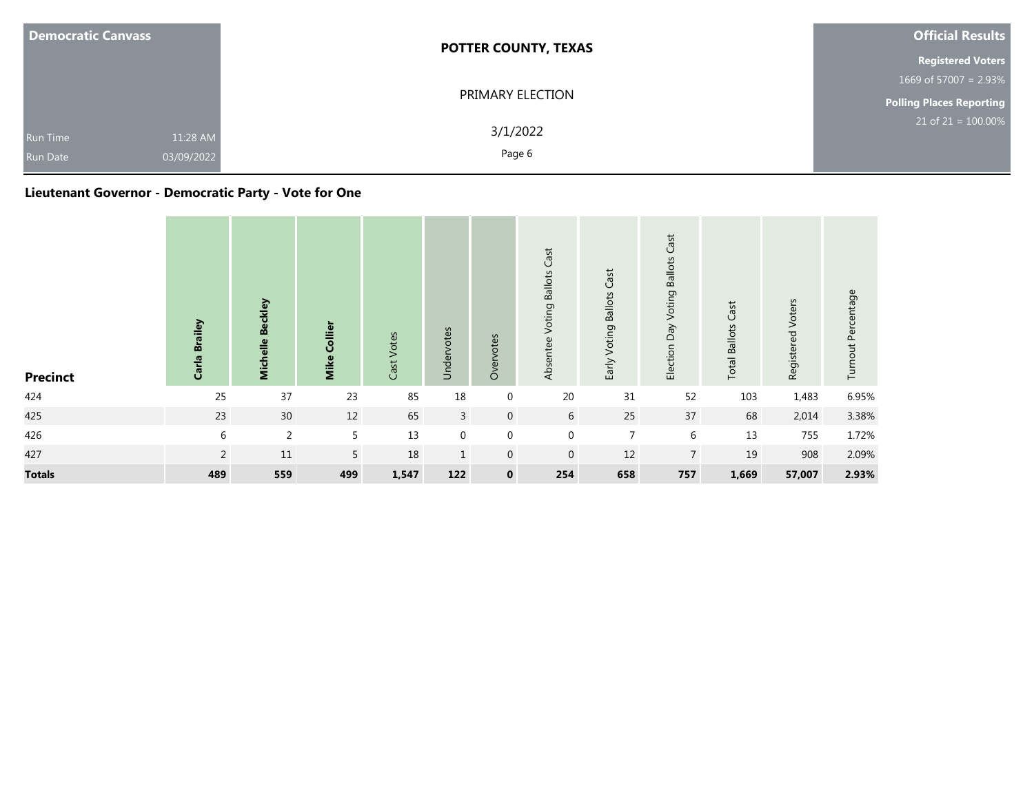| <b>Democratic Canvass</b>                                    | <b>POTTER COUNTY, TEXAS</b> | <b>Official Results</b>         |
|--------------------------------------------------------------|-----------------------------|---------------------------------|
|                                                              |                             | <b>Registered Voters</b>        |
|                                                              |                             | 1669 of 57007 = $2.93\%$        |
|                                                              | PRIMARY ELECTION            | <b>Polling Places Reporting</b> |
| 11:28 AM<br><b>Run Time</b><br>03/09/2022<br><b>Run Date</b> | 3/1/2022<br>Page 6          | $21$ of $21 = 100.00\%$         |

## **Lieutenant Governor - Democratic Party - Vote for One**

| <b>Precinct</b> | <b>Brailey</b><br>Carla | Michelle Beckley | Mike Collier   | Cast Votes | Undervotes     | Overvotes        | Absentee Voting Ballots Cast | Early Voting Ballots Cast | <b>Voting Ballots Cast</b><br>Election Day | Cast<br><b>Total Ballots</b> | Registered Voters | Turnout Percentage |
|-----------------|-------------------------|------------------|----------------|------------|----------------|------------------|------------------------------|---------------------------|--------------------------------------------|------------------------------|-------------------|--------------------|
| 424             | 25                      | 37               | 23             | 85         | 18             | $\pmb{0}$        | 20                           | 31                        | 52                                         | 103                          | 1,483             | 6.95%              |
| 425             | 23                      | 30               | 12             | 65         | $\overline{3}$ | $\overline{0}$   | 6                            | 25                        | 37                                         | 68                           | 2,014             | 3.38%              |
| 426             | 6                       | $\overline{2}$   | 5              | 13         | $\mathbf 0$    | $\mathbf 0$      | $\mathbf 0$                  | $\overline{7}$            | 6                                          | 13                           | 755               | 1.72%              |
| 427             | 2                       | $11\,$           | 5 <sup>1</sup> | 18         | $\mathbf{1}$   | $\boldsymbol{0}$ | $\boldsymbol{0}$             | 12                        | $\overline{7}$                             | 19                           | 908               | 2.09%              |
| <b>Totals</b>   | 489                     | 559              | 499            | 1,547      | 122            | $\mathbf 0$      | 254                          | 658                       | 757                                        | 1,669                        | 57,007            | 2.93%              |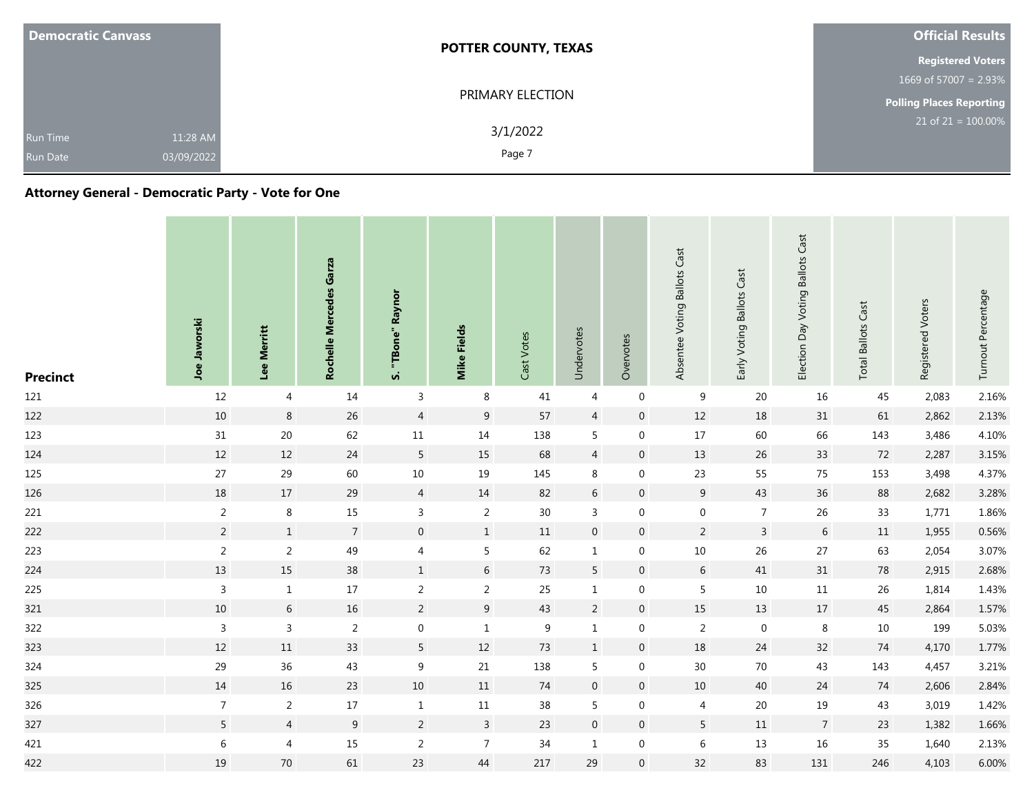| <b>Democratic Canvass</b>                                    | <b>POTTER COUNTY, TEXAS</b> | <b>Official Results</b>         |
|--------------------------------------------------------------|-----------------------------|---------------------------------|
|                                                              |                             | <b>Registered Voters</b>        |
|                                                              |                             | 1669 of 57007 = $2.93\%$        |
|                                                              | PRIMARY ELECTION            | <b>Polling Places Reporting</b> |
| 11:28 AM<br><b>Run Time</b><br>03/09/2022<br><b>Run Date</b> | 3/1/2022<br>Page 7          | $21$ of 21 = 100.00%            |

## **Attorney General - Democratic Party - Vote for One**

| <b>Precinct</b> | Joe Jaworski   | <b>Merritt</b><br>Lee | Rochelle Mercedes Garza | Raynor<br>"TBone"<br>vi | <b>Mike Fields</b> | Cast Votes | Undervotes       | Overvotes      | Absentee Voting Ballots Cast | Early Voting Ballots Cast | <b>Ballots Cast</b><br>Election Day Voting | Cast<br><b>Total Ballots</b> | Registered Voters | Turnout Percentage |
|-----------------|----------------|-----------------------|-------------------------|-------------------------|--------------------|------------|------------------|----------------|------------------------------|---------------------------|--------------------------------------------|------------------------------|-------------------|--------------------|
| 121             | 12             | 4                     | 14                      | $\mathsf{3}$            | 8                  | 41         | 4                | $\mathbf 0$    | 9                            | 20                        | 16                                         | 45                           | 2,083             | 2.16%              |
| 122             | $10\,$         | $8\phantom{1}$        | 26                      | $\overline{4}$          | 9                  | 57         | $\overline{4}$   | $\mathbf{0}$   | 12                           | 18                        | 31                                         | 61                           | 2,862             | 2.13%              |
| 123             | 31             | $20\,$                | 62                      | $11\,$                  | 14                 | 138        | 5                | $\mathbf 0$    | 17                           | 60                        | 66                                         | 143                          | 3,486             | 4.10%              |
| 124             | 12             | 12                    | 24                      | $5\phantom{.0}$         | 15                 | 68         | $\overline{4}$   | $\mathbf 0$    | 13                           | 26                        | 33                                         | 72                           | 2,287             | 3.15%              |
| 125             | 27             | 29                    | 60                      | $10\,$                  | 19                 | 145        | 8                | $\mathbf 0$    | 23                           | 55                        | 75                                         | 153                          | 3,498             | 4.37%              |
| 126             | 18             | 17                    | 29                      | $\overline{4}$          | 14                 | 82         | 6                | $\mathbf 0$    | $9\,$                        | 43                        | 36                                         | 88                           | 2,682             | 3.28%              |
| 221             | $\overline{2}$ | $\,8\,$               | 15                      | $\overline{3}$          | $\overline{2}$     | 30         | $\mathbf{3}$     | $\mathbf 0$    | $\boldsymbol{0}$             | $\overline{7}$            | 26                                         | 33                           | 1,771             | 1.86%              |
| 222             | $\overline{2}$ | $1\,$                 | $\overline{7}$          | $\mathsf{O}\xspace$     | $\mathbf{1}$       | $11\,$     | $\mathbf 0$      | $\mathbf 0$    | $\overline{2}$               | $\overline{3}$            | $6\,$                                      | 11                           | 1,955             | 0.56%              |
| 223             | $\overline{2}$ | $\overline{2}$        | 49                      | $\overline{4}$          | $5\phantom{.0}$    | 62         | $\mathbf{1}$     | $\mathbf 0$    | $10\,$                       | $26\,$                    | 27                                         | 63                           | 2,054             | 3.07%              |
| 224             | 13             | 15                    | 38                      | $\mathbf{1}$            | $6\,$              | 73         | 5                | $\mathbf 0$    | $6\,$                        | 41                        | 31                                         | 78                           | 2,915             | 2.68%              |
| 225             | $\overline{3}$ | $\mathbf{1}$          | 17                      | $\overline{2}$          | $\overline{2}$     | 25         | $\mathbf{1}$     | 0              | 5                            | $10\,$                    | 11                                         | 26                           | 1,814             | 1.43%              |
| 321             | $10\,$         | $\sqrt{6}$            | 16                      | $\overline{2}$          | $\boldsymbol{9}$   | 43         | $\overline{2}$   | $\overline{0}$ | 15                           | $13\,$                    | 17                                         | 45                           | 2,864             | 1.57%              |
| 322             | $\overline{3}$ | $\mathsf{3}$          | 2                       | $\boldsymbol{0}$        | $\mathbf{1}$       | 9          | $\mathbf{1}$     | $\mathbf 0$    | 2                            | $\boldsymbol{0}$          | 8                                          | 10                           | 199               | 5.03%              |
| 323             | 12             | 11                    | 33                      | $5\phantom{.0}$         | 12                 | 73         | $\mathbf{1}$     | $\mathbf 0$    | 18                           | 24                        | 32                                         | 74                           | 4,170             | 1.77%              |
| 324             | 29             | 36                    | 43                      | 9                       | 21                 | 138        | 5                | $\mathbf 0$    | 30                           | 70                        | 43                                         | 143                          | 4,457             | 3.21%              |
| 325             | 14             | 16                    | 23                      | $10\,$                  | 11                 | 74         | $\boldsymbol{0}$ | $\mathbf 0$    | 10                           | 40                        | 24                                         | 74                           | 2,606             | 2.84%              |
| 326             | $\overline{7}$ | $\overline{2}$        | 17                      | $\,1\,$                 | 11                 | 38         | 5                | $\mathbf 0$    | $\overline{4}$               | 20                        | 19                                         | 43                           | 3,019             | 1.42%              |
| 327             | $5\phantom{.}$ | $\overline{4}$        | $\overline{9}$          | $\overline{2}$          | $\mathbf{3}$       | 23         | $\mathbf 0$      | $\mathbf 0$    | $5\phantom{.0}$              | $11\,$                    | $\overline{7}$                             | 23                           | 1,382             | 1.66%              |
| 421             | $\sqrt{6}$     | $\overline{4}$        | 15                      | $\overline{2}$          | $\overline{7}$     | 34         | $\mathbf{1}$     | $\mathbf 0$    | $\,6\,$                      | 13                        | 16                                         | 35                           | 1,640             | 2.13%              |
| 422             | 19             | $70\,$                | 61                      | 23                      | 44                 | 217        | 29               | $\mathbf 0$    | 32                           | 83                        | 131                                        | 246                          | 4,103             | 6.00%              |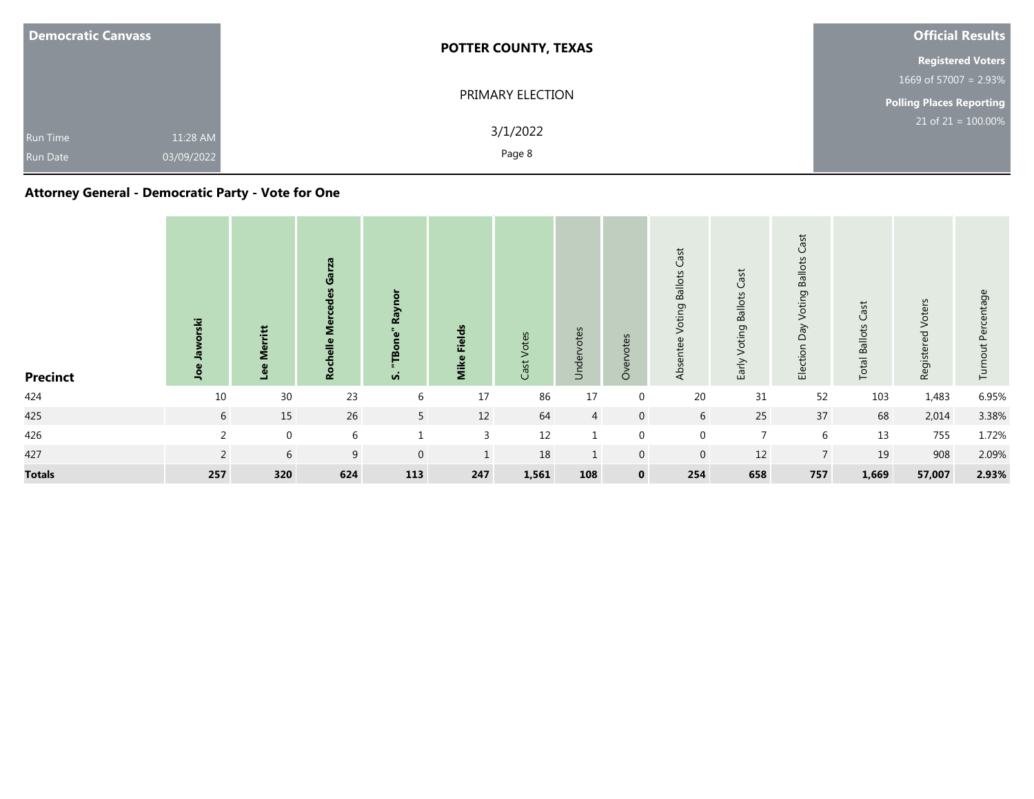| <b>Democratic Canvass</b>          |                        | <b>POTTER COUNTY, TEXAS</b> | <b>Official Results</b>            |
|------------------------------------|------------------------|-----------------------------|------------------------------------|
|                                    |                        |                             | <b>Registered Voters</b>           |
|                                    |                        |                             | 1669 of 57007 = $2.93\%$           |
|                                    |                        | PRIMARY ELECTION            | Polling Places Reporting           |
| <b>Run Time</b><br><b>Run Date</b> | 11:28 AM<br>03/09/2022 | 3/1/2022<br>Page 8          | $21$ of 21 = $\overline{100.00\%}$ |

## **Attorney General - Democratic Party - Vote for One**

| <b>Precinct</b> | 空<br>윽         | ë<br>일          | Ű<br>Ž.<br><b>Q</b> | ā<br>Rayı<br><b>vi</b> | Fields<br><b>Mik</b> | Votes<br>Cast | Undervotes     | Overvotes      | Cast<br><b>Ballots</b><br>Voting<br>Absentee | Voting Ballots Cast<br>Early | Cast<br><b>Ballots</b><br>oting<br>⋝<br>Veq<br>Election | ast<br>$\cup$<br><b>Ballots</b><br>Total | Voters<br>Registered | Percentage<br>Turnout |
|-----------------|----------------|-----------------|---------------------|------------------------|----------------------|---------------|----------------|----------------|----------------------------------------------|------------------------------|---------------------------------------------------------|------------------------------------------|----------------------|-----------------------|
| 424             | 10             | 30 <sup>°</sup> | 23                  | 6                      | 17                   | 86            | 17             | 0              | $20\,$                                       | 31                           | 52                                                      | 103                                      | 1,483                | 6.95%                 |
| 425             | 6              | 15              | 26                  | 5 <sup>1</sup>         | 12                   | 64            | $\overline{4}$ | $\overline{0}$ | 6                                            | 25                           | 37                                                      | 68                                       | 2,014                | 3.38%                 |
| 426             | $\overline{2}$ | $\mathbf 0$     | 6                   |                        | 3                    | 12            | $\mathbf{1}$   | $\mathbf{0}$   | $\mathbf 0$                                  | $\overline{7}$               | 6                                                       | 13                                       | 755                  | 1.72%                 |
| 427             | 2              | 6               | 9                   | $\overline{0}$         | $\mathbf{1}$         | 18            | $\mathbf{1}$   | $\overline{0}$ | $\overline{0}$                               | 12                           | 7 <sup>1</sup>                                          | 19                                       | 908                  | 2.09%                 |
| <b>Totals</b>   | 257            | 320             | 624                 | 113                    | 247                  | 1,561         | 108            | $\mathbf 0$    | 254                                          | 658                          | 757                                                     | 1,669                                    | 57,007               | 2.93%                 |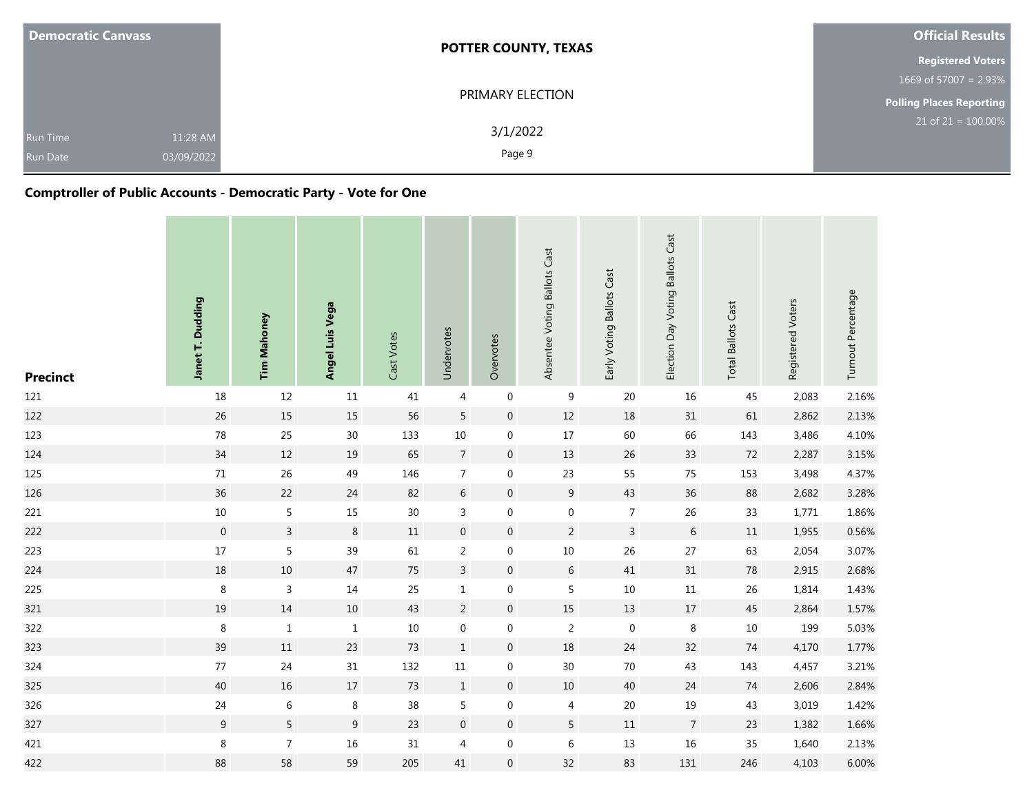| <b>Democratic Canvass</b>          |                        | <b>POTTER COUNTY, TEXAS</b> | <b>Official Results</b>            |
|------------------------------------|------------------------|-----------------------------|------------------------------------|
|                                    |                        |                             | <b>Registered Voters</b>           |
|                                    |                        |                             | 1669 of 57007 = $2.93\%$           |
|                                    |                        | PRIMARY ELECTION            | Polling Places Reporting           |
| <b>Run Time</b><br><b>Run Date</b> | 11:28 AM<br>03/09/2022 | 3/1/2022<br>Page 9          | $21$ of 21 = $\overline{100.00\%}$ |

## **Comptroller of Public Accounts - Democratic Party - Vote for One**

| <b>Precinct</b> | Janet T. Dudding | <b>Tim Mahoney</b> | Angel Luis Vega | Cast Votes | Undervotes       | Overvotes        | Absentee Voting Ballots Cast | Early Voting Ballots Cast | Election Day Voting Ballots Cast | <b>Total Ballots Cast</b> | Registered Voters | Turnout Percentage |
|-----------------|------------------|--------------------|-----------------|------------|------------------|------------------|------------------------------|---------------------------|----------------------------------|---------------------------|-------------------|--------------------|
| 121             | 18               | 12                 | $11\,$          | 41         | 4                | $\boldsymbol{0}$ | $9\,$                        | $20\,$                    | $16\,$                           | 45                        | 2,083             | 2.16%              |
| 122             | 26               | 15                 | $15\,$          | 56         | 5                | $\boldsymbol{0}$ | $12$                         | $18\,$                    | 31                               | 61                        | 2,862             | 2.13%              |
| 123             | $78\,$           | 25                 | $30\,$          | 133        | $10\,$           | $\boldsymbol{0}$ | $17\,$                       | 60                        | 66                               | 143                       | 3,486             | 4.10%              |
| 124             | 34               | 12                 | 19              | 65         | $\overline{7}$   | $\boldsymbol{0}$ | 13                           | 26                        | $33\,$                           | 72                        | 2,287             | 3.15%              |
| 125             | $71\,$           | 26                 | 49              | 146        | $\overline{7}$   | $\boldsymbol{0}$ | 23                           | 55                        | 75                               | 153                       | 3,498             | 4.37%              |
| 126             | 36               | 22                 | 24              | 82         | $6\,$            | $\boldsymbol{0}$ | 9                            | 43                        | 36                               | 88                        | 2,682             | 3.28%              |
| 221             | $10\,$           | $\overline{5}$     | $15\,$          | $30\,$     | $\mathsf{3}$     | $\boldsymbol{0}$ | $\boldsymbol{0}$             | $\overline{7}$            | 26                               | 33                        | 1,771             | 1.86%              |
| 222             | $\boldsymbol{0}$ | $\overline{3}$     | $\,8\,$         | $11\,$     | $\boldsymbol{0}$ | $\boldsymbol{0}$ | $\overline{2}$               | $\mathsf{3}$              | $\sqrt{6}$                       | $11\,$                    | 1,955             | 0.56%              |
| 223             | 17               | 5                  | 39              | 61         | $\overline{2}$   | $\boldsymbol{0}$ | $10\,$                       | 26                        | $27\,$                           | 63                        | 2,054             | 3.07%              |
| 224             | 18               | $10\,$             | $47\,$          | $75\,$     | $\overline{3}$   | $\boldsymbol{0}$ | $\sqrt{6}$                   | 41                        | 31                               | $78\,$                    | 2,915             | 2.68%              |
| 225             | 8                | $\mathsf{3}$       | $14\,$          | 25         | $\mathbf{1}$     | $\boldsymbol{0}$ | 5                            | 10                        | $11\,$                           | $26\,$                    | 1,814             | 1.43%              |
| 321             | 19               | $14\,$             | $10\,$          | 43         | $\overline{c}$   | $\boldsymbol{0}$ | $15\,$                       | 13                        | $17\,$                           | 45                        | 2,864             | 1.57%              |
| 322             | $\,8\,$          | $1\,$              | $\mathbf 1$     | $10\,$     | $\boldsymbol{0}$ | $\boldsymbol{0}$ | $\sqrt{2}$                   | 0                         | $\,8\,$                          | $10\,$                    | 199               | 5.03%              |
| 323             | 39               | $11\,$             | 23              | 73         | $\mathbf{1}$     | $\boldsymbol{0}$ | 18                           | 24                        | 32                               | 74                        | 4,170             | 1.77%              |
| 324             | 77               | 24                 | $31\,$          | 132        | $11\,$           | $\boldsymbol{0}$ | $30\,$                       | 70                        | 43                               | 143                       | 4,457             | 3.21%              |
| 325             | 40               | 16                 | 17              | 73         | $\mathbf{1}$     | $\boldsymbol{0}$ | 10                           | 40                        | 24                               | 74                        | 2,606             | 2.84%              |
| 326             | 24               | $\,6\,$            | $\,8\,$         | 38         | 5                | $\boldsymbol{0}$ | $\overline{4}$               | $20\,$                    | $19\,$                           | 43                        | 3,019             | 1.42%              |
| 327             | 9                | $5\overline{)}$    | $\overline{9}$  | 23         | $\boldsymbol{0}$ | $\boldsymbol{0}$ | $5\phantom{.}$               | 11                        | $\overline{7}$                   | 23                        | 1,382             | 1.66%              |
| 421             | $\,8\,$          | $\overline{7}$     | $16\,$          | $31\,$     | 4                | $\boldsymbol{0}$ | 6                            | 13                        | $16\,$                           | 35                        | 1,640             | 2.13%              |
| 422             | 88               | 58                 | 59              | 205        | 41               | $\boldsymbol{0}$ | 32                           | 83                        | 131                              | 246                       | 4,103             | 6.00%              |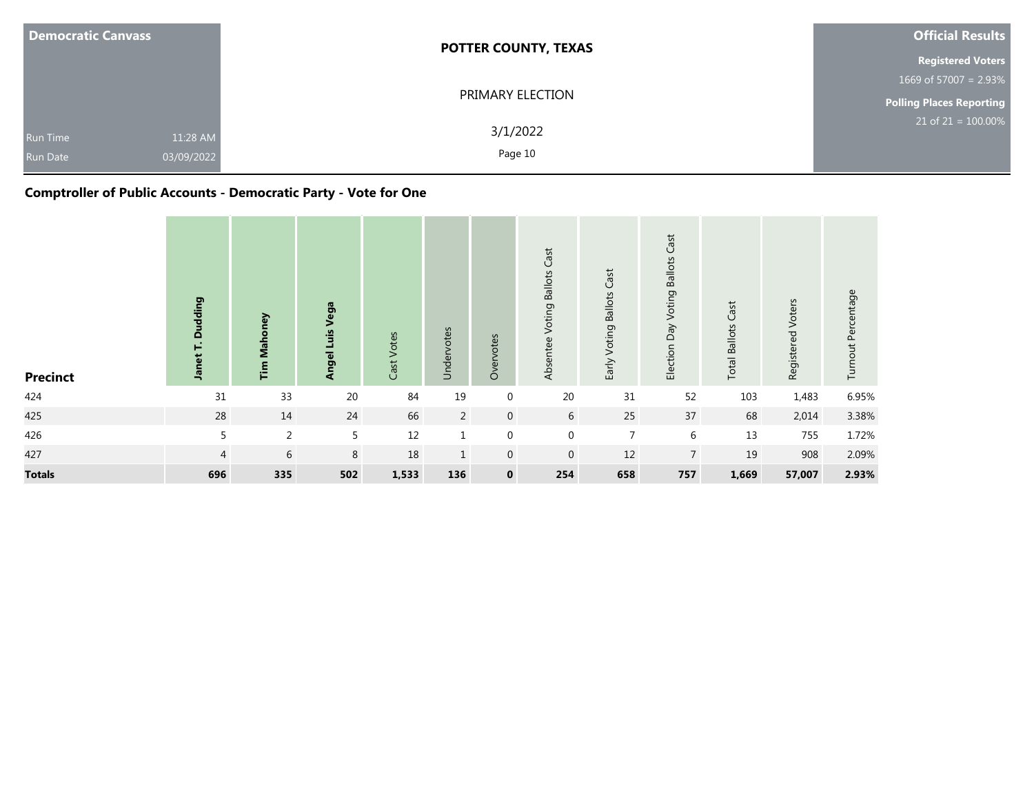| <b>Democratic Canvass</b>   |                        | <b>POTTER COUNTY, TEXAS</b> | <b>Official Results</b>         |
|-----------------------------|------------------------|-----------------------------|---------------------------------|
|                             |                        |                             | <b>Registered Voters</b>        |
|                             |                        |                             | 1669 of 57007 = $2.93\%$        |
|                             |                        | PRIMARY ELECTION            | <b>Polling Places Reporting</b> |
| Run Time<br><b>Run Date</b> | 11:28 AM<br>03/09/2022 | 3/1/2022<br>Page 10         | $21$ of $21 = 100.00\%$         |

## **Comptroller of Public Accounts - Democratic Party - Vote for One**

| <b>Precinct</b> | udding<br>$\Omega$<br>net<br>흑 | <b>Tim Mahoney</b> | Vega<br>Angel Luis | Votes<br>Cast <sup>-</sup> | Undervotes     | Overvotes   | Voting Ballots Cast<br>Absentee | Early Voting Ballots Cast | Election Day Voting Ballots Cast | Cast<br><b>Total Ballots</b> | Registered Voters | Turnout Percentage |
|-----------------|--------------------------------|--------------------|--------------------|----------------------------|----------------|-------------|---------------------------------|---------------------------|----------------------------------|------------------------------|-------------------|--------------------|
| 424             | 31                             | 33                 | $20\,$             | 84                         | 19             | $\mathbf 0$ | 20                              | 31                        | 52                               | 103                          | 1,483             | 6.95%              |
| 425             | 28                             | 14                 | 24                 | 66                         | $\overline{2}$ | $\mathbf 0$ | 6                               | 25                        | 37                               | 68                           | 2,014             | 3.38%              |
| 426             | 5                              | 2                  | 5                  | 12                         | $\mathbf 1$    | $\mathbf 0$ | $\mathbf 0$                     | $\overline{7}$            | $\boldsymbol{6}$                 | 13                           | 755               | 1.72%              |
| 427             | $\overline{4}$                 | 6                  | 8                  | 18                         | $\mathbf{1}$   | $\mathbf 0$ | $\overline{0}$                  | 12                        | $\overline{7}$                   | 19                           | 908               | 2.09%              |
| <b>Totals</b>   | 696                            | 335                | 502                | 1,533                      | 136            | $\mathbf 0$ | 254                             | 658                       | 757                              | 1,669                        | 57,007            | 2.93%              |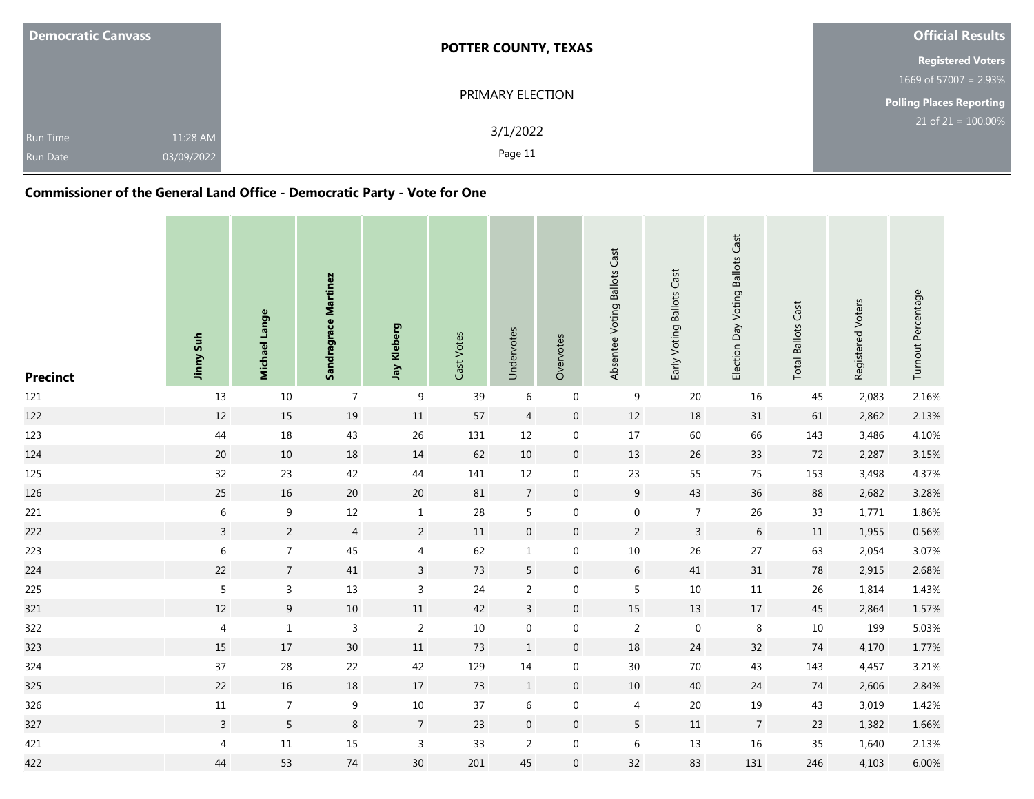| <b>Democratic Canvass</b> |            | <b>POTTER COUNTY, TEXAS</b> | <b>Official Results</b>  |
|---------------------------|------------|-----------------------------|--------------------------|
|                           |            |                             | <b>Registered Voters</b> |
|                           |            |                             | 1669 of 57007 = $2.93\%$ |
|                           |            | PRIMARY ELECTION            | Polling Places Reporting |
| <b>Run Time</b>           | 11:28 AM   | 3/1/2022                    | $21$ of $21 = 100.00\%$  |
| <b>Run Date</b>           | 03/09/2022 | Page 11                     |                          |

## **Commissioner of the General Land Office - Democratic Party - Vote for One**

| <b>Precinct</b> | Jinny Suh      | Michael Lange    | <b>Sandragrace Martinez</b> | Jay Kleberg     | Cast Votes | Undervotes       | Overvotes           | Absentee Voting Ballots Cast | Early Voting Ballots Cast | Election Day Voting Ballots Cast | <b>Total Ballots Cast</b> | Registered Voters | Turnout Percentage |
|-----------------|----------------|------------------|-----------------------------|-----------------|------------|------------------|---------------------|------------------------------|---------------------------|----------------------------------|---------------------------|-------------------|--------------------|
| 121             | 13             | $10\,$           | $\overline{7}$              | 9               | 39         | $\,6\,$          | $\mathbf 0$         | 9                            | 20                        | 16                               | 45                        | 2,083             | 2.16%              |
| 122             | $12\,$         | 15               | $19\,$                      | $11\,$          | 57         | $\overline{4}$   | $\boldsymbol{0}$    | $12\,$                       | $18\,$                    | 31                               | 61                        | 2,862             | 2.13%              |
| 123             | 44             | $18\,$           | 43                          | $26\,$          | 131        | 12               | $\mathbf 0$         | $17$                         | 60                        | 66                               | 143                       | 3,486             | 4.10%              |
| 124             | $20\,$         | $10\,$           | $18\,$                      | $14\,$          | 62         | $10\,$           | $\overline{0}$      | 13                           | $26\,$                    | 33                               | 72                        | 2,287             | 3.15%              |
| 125             | 32             | 23               | 42                          | $44\,$          | 141        | 12               | $\boldsymbol{0}$    | 23                           | 55                        | 75                               | 153                       | 3,498             | 4.37%              |
| 126             | 25             | 16               | 20                          | $20\,$          | 81         | $\overline{7}$   | $\overline{0}$      | 9                            | 43                        | 36                               | 88                        | 2,682             | 3.28%              |
| 221             | $\,6\,$        | $\boldsymbol{9}$ | $12\,$                      | $\,1\,$         | 28         | 5                | $\boldsymbol{0}$    | $\boldsymbol{0}$             | $\overline{7}$            | 26                               | 33                        | 1,771             | 1.86%              |
| 222             | $\overline{3}$ | $\overline{2}$   | $\overline{4}$              | $\overline{2}$  | 11         | $\mathbf 0$      | $\mathsf{O}\xspace$ | $\overline{2}$               | $\overline{3}$            | $\sqrt{6}$                       | $11\,$                    | 1,955             | 0.56%              |
| 223             | $\,$ 6 $\,$    | $\boldsymbol{7}$ | 45                          | $\sqrt{4}$      | 62         | $\mathbf{1}$     | $\mathbf 0$         | $10\,$                       | 26                        | 27                               | 63                        | 2,054             | 3.07%              |
| 224             | 22             | $\overline{7}$   | $41\,$                      | $\overline{3}$  | 73         | 5                | $\boldsymbol{0}$    | $6\,$                        | 41                        | 31                               | 78                        | 2,915             | 2.68%              |
| 225             | $\sqrt{5}$     | 3                | 13                          | $\mathsf{3}$    | 24         | $\overline{2}$   | $\mathbf 0$         | 5                            | $10\,$                    | $11\,$                           | 26                        | 1,814             | 1.43%              |
| 321             | $12\,$         | $\boldsymbol{9}$ | $10\,$                      | $11\,$          | 42         | $\overline{3}$   | $\overline{0}$      | 15                           | $13\,$                    | $17\,$                           | 45                        | 2,864             | 1.57%              |
| 322             | 4              | $\mathbf{1}$     | $\mathsf 3$                 | $\overline{2}$  | $10\,$     | $\mathbf 0$      | $\mathbf 0$         | $\overline{2}$               | $\boldsymbol{0}$          | $\,8\,$                          | $10\,$                    | 199               | 5.03%              |
| 323             | $15\,$         | $17\,$           | $30\,$                      | $11\,$          | 73         | $\mathbf{1}$     | $\overline{0}$      | 18                           | 24                        | 32                               | $74\,$                    | 4,170             | 1.77%              |
| 324             | 37             | 28               | 22                          | 42              | 129        | 14               | $\boldsymbol{0}$    | $30\,$                       | $70\,$                    | 43                               | 143                       | 4,457             | 3.21%              |
| 325             | 22             | 16               | $18\,$                      | 17              | 73         | $\mathbf{1}$     | $\overline{0}$      | $10\,$                       | 40                        | 24                               | 74                        | 2,606             | 2.84%              |
| 326             | $11\,$         | $\overline{7}$   | $\boldsymbol{9}$            | $10\,$          | 37         | 6                | $\pmb{0}$           | $\overline{4}$               | $20\,$                    | 19                               | 43                        | 3,019             | 1.42%              |
| 327             | $\overline{3}$ | $5\overline{)}$  | $\bf 8$                     | $\overline{7}$  | 23         | $\boldsymbol{0}$ | $\overline{0}$      | 5                            | $11\,$                    | $\overline{7}$                   | 23                        | 1,382             | 1.66%              |
| 421             | $\sqrt{4}$     | $11\,$           | 15                          | $\overline{3}$  | 33         | $\overline{2}$   | $\mathbf 0$         | $\,6$                        | 13                        | 16                               | 35                        | 1,640             | 2.13%              |
| 422             | 44             | 53               | 74                          | 30 <sub>o</sub> | $201\,$    | 45               | $\mathbf 0$         | 32                           | 83                        | 131                              | 246                       | 4,103             | 6.00%              |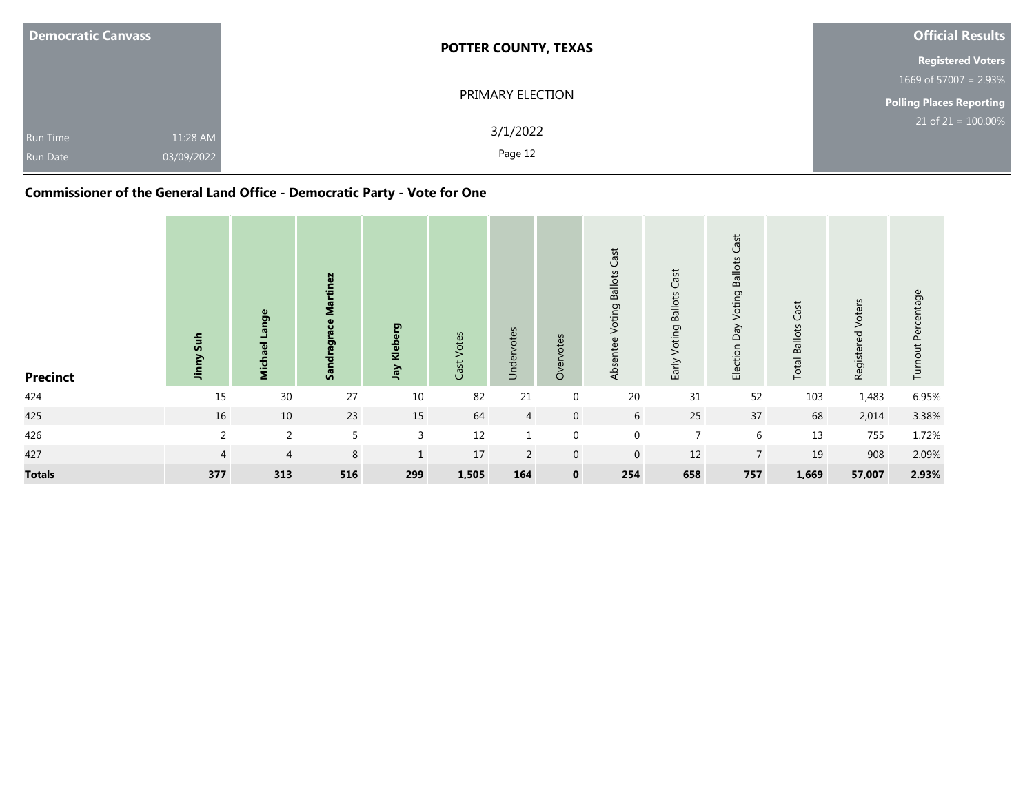| <b>Democratic Canvass</b> |            | <b>POTTER COUNTY, TEXAS</b> | <b>Official Results</b>  |
|---------------------------|------------|-----------------------------|--------------------------|
|                           |            |                             | <b>Registered Voters</b> |
|                           |            |                             | 1669 of 57007 = $2.93\%$ |
|                           |            | PRIMARY ELECTION            | Polling Places Reporting |
| <b>Run Time</b>           | 11:28 AM   | 3/1/2022                    | $21$ of $21 = 100.00\%$  |
| <b>Run Date</b>           | 03/09/2022 | Page 12                     |                          |

## **Commissioner of the General Land Office - Democratic Party - Vote for One**

| <b>Precinct</b> | Suh<br>≧<br>틐  | Lange<br>Michael | Martinez<br>Sandragrace | erg<br>Jay Klebe | Votes<br>Cast <sup>-</sup> | Undervotes     | Overvotes      | Cast<br>Voting Ballots<br>Absentee | <b>Voting Ballots Cast</b><br>Early | Cast<br>Election Day Voting Ballots | <b>Total Ballots Cast</b> | Registered Voters | Turnout Percentage |
|-----------------|----------------|------------------|-------------------------|------------------|----------------------------|----------------|----------------|------------------------------------|-------------------------------------|-------------------------------------|---------------------------|-------------------|--------------------|
| 424             | 15             | 30               | 27                      | $10\,$           | 82                         | 21             | $\mathbf 0$    | 20                                 | 31                                  | 52                                  | 103                       | 1,483             | 6.95%              |
| 425             | 16             | $10\,$           | 23                      | 15               | 64                         | $\overline{4}$ | $\overline{0}$ | $6\overline{6}$                    | 25                                  | 37                                  | 68                        | 2,014             | 3.38%              |
| 426             | $\overline{2}$ | 2                | $5\overline{)}$         | 3                | 12                         |                | $\Omega$       | $\mathbf 0$                        | $\overline{7}$                      | 6                                   | 13                        | 755               | 1.72%              |
| 427             | $\overline{4}$ | $\overline{4}$   | 8                       | $\mathbf{1}$     | 17                         | $\overline{2}$ | $\mathbf 0$    | $\mathbf 0$                        | 12                                  | $\overline{7}$                      | 19                        | 908               | 2.09%              |
| <b>Totals</b>   | 377            | 313              | 516                     | 299              | 1,505                      | 164            | $\mathbf 0$    | 254                                | 658                                 | 757                                 | 1,669                     | 57,007            | 2.93%              |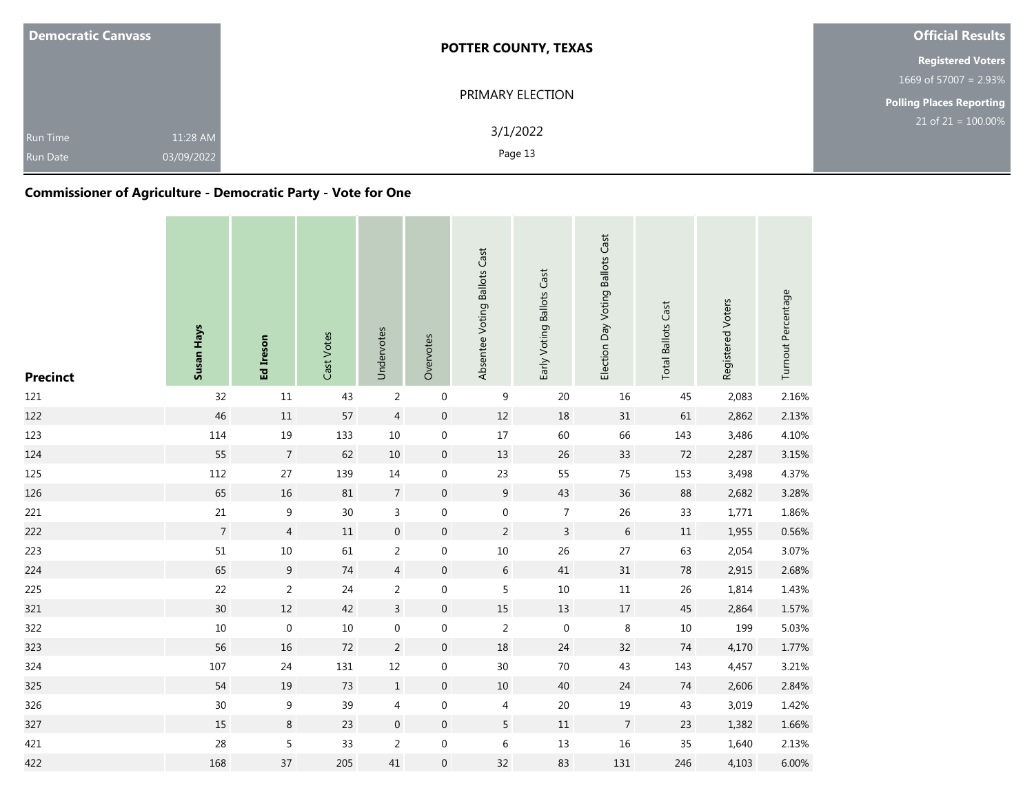| <b>Democratic Canvass</b>          |                        | <b>POTTER COUNTY, TEXAS</b> | <b>Official Results</b>         |  |  |
|------------------------------------|------------------------|-----------------------------|---------------------------------|--|--|
|                                    |                        |                             | <b>Registered Voters</b>        |  |  |
|                                    |                        |                             | 1669 of 57007 = $2.93\%$        |  |  |
|                                    |                        | PRIMARY ELECTION            | <b>Polling Places Reporting</b> |  |  |
| <b>Run Time</b><br><b>Run Date</b> | 11:28 AM<br>03/09/2022 | 3/1/2022<br>Page 13         | $21$ of $21 = 100.00\%$         |  |  |

## **Commissioner of Agriculture - Democratic Party - Vote for One**

| <b>Precinct</b> | Susan Hays       | Ed Ireson        | Cast Votes | Undervotes       | Overvotes        | Absentee Voting Ballots Cast | Early Voting Ballots Cast | Election Day Voting Ballots Cast | <b>Total Ballots Cast</b> | Registered Voters | Turnout Percentage |
|-----------------|------------------|------------------|------------|------------------|------------------|------------------------------|---------------------------|----------------------------------|---------------------------|-------------------|--------------------|
| 121             | 32               | $11\,$           | 43         | $\sqrt{2}$       | $\boldsymbol{0}$ | 9                            | 20                        | 16                               | 45                        | 2,083             | 2.16%              |
| 122             | 46               | $11\,$           | 57         | $\sqrt{4}$       | $\pmb{0}$        | $12\,$                       | 18                        | 31                               | 61                        | 2,862             | 2.13%              |
| 123             | 114              | 19               | 133        | 10               | $\boldsymbol{0}$ | $17\,$                       | 60                        | 66                               | 143                       | 3,486             | 4.10%              |
| 124             | 55               | $\overline{7}$   | 62         | 10               | $\boldsymbol{0}$ | 13                           | 26                        | 33                               | 72                        | 2,287             | 3.15%              |
| 125             | 112              | 27               | 139        | 14               | $\mathbf 0$      | 23                           | 55                        | 75                               | 153                       | 3,498             | 4.37%              |
| 126             | 65               | 16               | 81         | $\overline{7}$   | $\pmb{0}$        | $9\,$                        | 43                        | 36                               | 88                        | 2,682             | 3.28%              |
| 221             | $21\,$           | $\boldsymbol{9}$ | 30         | $\overline{3}$   | $\boldsymbol{0}$ | $\boldsymbol{0}$             | $\boldsymbol{7}$          | 26                               | 33                        | 1,771             | 1.86%              |
| 222             | $\boldsymbol{7}$ | $\overline{4}$   | 11         | $\boldsymbol{0}$ | $\boldsymbol{0}$ | $\overline{2}$               | $\overline{3}$            | $\,6\,$                          | $11\,$                    | 1,955             | 0.56%              |
| 223             | 51               | $10\,$           | 61         | $\sqrt{2}$       | $\boldsymbol{0}$ | $10\,$                       | 26                        | $27$                             | 63                        | 2,054             | 3.07%              |
| 224             | 65               | $9\,$            | 74         | $\overline{4}$   | $\mathbf 0$      | 6                            | 41                        | 31                               | 78                        | 2,915             | 2.68%              |
| 225             | 22               | $\sqrt{2}$       | 24         | $\sqrt{2}$       | $\boldsymbol{0}$ | $\overline{5}$               | $10\,$                    | $11\,$                           | 26                        | 1,814             | 1.43%              |
| 321             | 30               | 12               | 42         | $\mathbf{3}$     | $\mathbf 0$      | $15\,$                       | 13                        | 17                               | 45                        | 2,864             | 1.57%              |
| 322             | $10\,$           | $\boldsymbol{0}$ | 10         | $\mathbf 0$      | $\boldsymbol{0}$ | $\overline{2}$               | $\mathbf 0$               | 8                                | 10                        | 199               | 5.03%              |
| 323             | 56               | 16               | 72         | $\overline{2}$   | $\mathbf 0$      | 18                           | 24                        | 32                               | 74                        | 4,170             | 1.77%              |
| 324             | 107              | 24               | 131        | $12\,$           | 0                | 30                           | $70\,$                    | 43                               | 143                       | 4,457             | 3.21%              |
| 325             | 54               | 19               | 73         | $\mathbf{1}$     | $\mathbf 0$      | 10                           | 40                        | 24                               | 74                        | 2,606             | 2.84%              |
| 326             | $30\,$           | 9                | 39         | $\overline{4}$   | $\boldsymbol{0}$ | 4                            | 20                        | 19                               | 43                        | 3,019             | 1.42%              |
| 327             | 15               | $\,8\,$          | 23         | $\boldsymbol{0}$ | $\boldsymbol{0}$ | 5                            | $11\,$                    | $\overline{7}$                   | 23                        | 1,382             | 1.66%              |
| 421             | 28               | 5                | 33         | $\sqrt{2}$       | $\boldsymbol{0}$ | $\,$ 6 $\,$                  | 13                        | 16                               | 35                        | 1,640             | 2.13%              |
| 422             | 168              | 37               | 205        | 41               | $\mathbf 0$      | 32                           | 83                        | 131                              | 246                       | 4,103             | 6.00%              |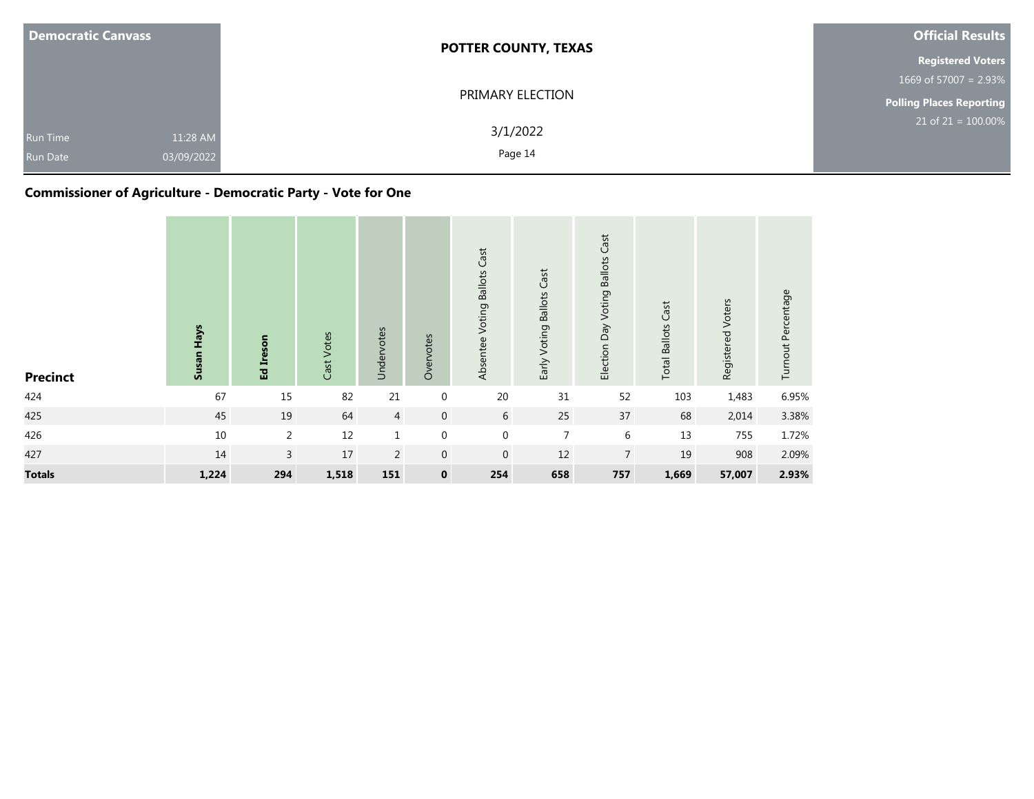| <b>Democratic Canvass</b>   |                        | <b>POTTER COUNTY, TEXAS</b> | <b>Official Results</b>  |  |  |
|-----------------------------|------------------------|-----------------------------|--------------------------|--|--|
|                             |                        |                             | <b>Registered Voters</b> |  |  |
|                             |                        |                             | 1669 of 57007 = $2.93\%$ |  |  |
|                             |                        | PRIMARY ELECTION            | Polling Places Reporting |  |  |
| Run Time<br><b>Run Date</b> | 11:28 AM<br>03/09/2022 | 3/1/2022<br>Page 14         | $21$ of 21 = 100.00%     |  |  |

## **Commissioner of Agriculture - Democratic Party - Vote for One**

| <b>Precinct</b> | Susan Hays | Ed Ireson      | Cast Votes | Undervotes     | Overvotes        | Cast<br>Absentee Voting Ballots | Early Voting Ballots Cast | <b>Voting Ballots Cast</b><br>Election Day | <b>Total Ballots Cast</b> | Registered Voters | Turnout Percentage |
|-----------------|------------|----------------|------------|----------------|------------------|---------------------------------|---------------------------|--------------------------------------------|---------------------------|-------------------|--------------------|
| 424             | 67         | 15             | 82         | 21             | 0                | $20\,$                          | 31                        | 52                                         | 103                       | 1,483             | 6.95%              |
| 425             | 45         | 19             | 64         | $\overline{4}$ | $\mathbf 0$      | 6                               | 25                        | 37                                         | 68                        | 2,014             | 3.38%              |
| 426             | $10\,$     | $\overline{2}$ | 12         | $\mathbf{1}$   | $\boldsymbol{0}$ | $\mathbf 0$                     | $\overline{7}$            | $\,6\,$                                    | 13                        | 755               | 1.72%              |
| 427             | 14         | $\overline{3}$ | 17         | $\overline{2}$ | $\mathbf{0}$     | $\mathbf 0$                     | 12                        | $\overline{7}$                             | 19                        | 908               | 2.09%              |
| <b>Totals</b>   | 1,224      | 294            | 1,518      | 151            | $\mathbf 0$      | 254                             | 658                       | 757                                        | 1,669                     | 57,007            | 2.93%              |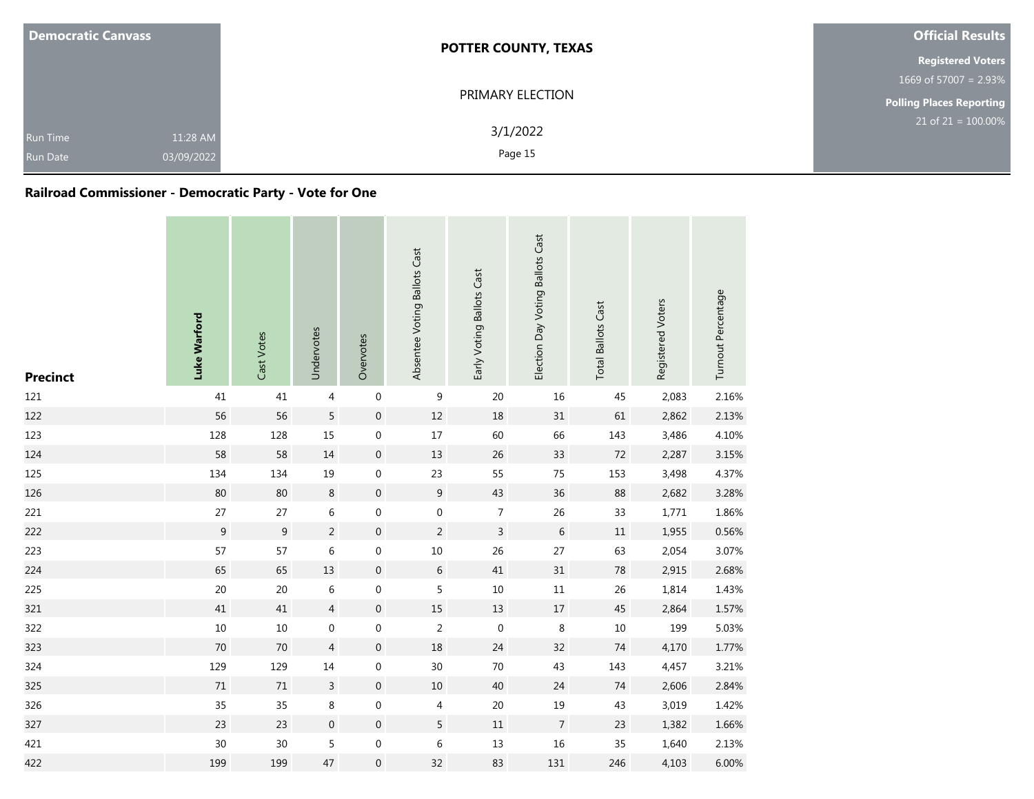| <b>Democratic Canvass</b>          |                        | <b>POTTER COUNTY, TEXAS</b> | <b>Official Results</b>  |  |  |
|------------------------------------|------------------------|-----------------------------|--------------------------|--|--|
|                                    |                        |                             | <b>Registered Voters</b> |  |  |
|                                    |                        |                             | 1669 of 57007 = $2.93\%$ |  |  |
|                                    |                        | PRIMARY ELECTION            | Polling Places Reporting |  |  |
| <b>Run Time</b><br><b>Run Date</b> | 11:28 AM<br>03/09/2022 | 3/1/2022<br>Page 15         | $21$ of $21 = 100.00\%$  |  |  |

## **Railroad Commissioner - Democratic Party - Vote for One**

| <b>Precinct</b> | Luke Warford   | Cast Votes | Undervotes       | Overvotes        | Absentee Voting Ballots Cast | Early Voting Ballots Cast | Election Day Voting Ballots Cast | <b>Total Ballots Cast</b> | Registered Voters | Turnout Percentage |
|-----------------|----------------|------------|------------------|------------------|------------------------------|---------------------------|----------------------------------|---------------------------|-------------------|--------------------|
| 121             | 41             | 41         | $\overline{4}$   | $\,0\,$          | $\boldsymbol{9}$             | 20                        | 16                               | 45                        | 2,083             | 2.16%              |
| 122             | 56             | 56         | 5                | $\boldsymbol{0}$ | $12\,$                       | 18                        | 31                               | 61                        | 2,862             | 2.13%              |
| 123             | 128            | 128        | 15               | $\boldsymbol{0}$ | $17\,$                       | 60                        | 66                               | 143                       | 3,486             | 4.10%              |
| 124             | 58             | 58         | $14\,$           | $\boldsymbol{0}$ | 13                           | 26                        | 33                               | $72\,$                    | 2,287             | 3.15%              |
| 125             | 134            | 134        | 19               | $\boldsymbol{0}$ | 23                           | 55                        | 75                               | 153                       | 3,498             | 4.37%              |
| 126             | 80             | 80         | $\,8\,$          | $\boldsymbol{0}$ | $9\,$                        | 43                        | 36                               | 88                        | 2,682             | 3.28%              |
| 221             | 27             | 27         | $\,6\,$          | $\boldsymbol{0}$ | $\boldsymbol{0}$             | $\overline{7}$            | 26                               | 33                        | 1,771             | 1.86%              |
| 222             | $\overline{9}$ | 9          | $\overline{2}$   | $\boldsymbol{0}$ | $\overline{2}$               | $\overline{3}$            | 6                                | $11\,$                    | 1,955             | 0.56%              |
| 223             | 57             | 57         | $\,6\,$          | $\boldsymbol{0}$ | $10\,$                       | 26                        | 27                               | 63                        | 2,054             | 3.07%              |
| 224             | 65             | 65         | $13\,$           | $\mathbf 0$      | $\boldsymbol{6}$             | $41\,$                    | 31                               | $78\,$                    | 2,915             | 2.68%              |
| 225             | $20\,$         | 20         | 6                | $\mathbf 0$      | 5                            | 10                        | $11\,$                           | 26                        | 1,814             | 1.43%              |
| 321             | $41\,$         | 41         | $\overline{4}$   | $\mathbf 0$      | $15\,$                       | $13\,$                    | $17\,$                           | $45\,$                    | 2,864             | 1.57%              |
| 322             | $10\,$         | $10\,$     | 0                | $\mathbf 0$      | $\overline{2}$               | $\boldsymbol{0}$          | 8                                | $10\,$                    | 199               | 5.03%              |
| 323             | $70\,$         | $70$       | $\overline{4}$   | $\boldsymbol{0}$ | $18\,$                       | 24                        | 32                               | $74$                      | 4,170             | 1.77%              |
| 324             | 129            | 129        | 14               | $\boldsymbol{0}$ | 30                           | $70\,$                    | 43                               | 143                       | 4,457             | 3.21%              |
| 325             | $71\,$         | $71\,$     | 3                | $\mathbf 0$      | 10                           | 40                        | 24                               | 74                        | 2,606             | 2.84%              |
| 326             | 35             | 35         | $\,8\,$          | $\boldsymbol{0}$ | 4                            | 20                        | 19                               | 43                        | 3,019             | 1.42%              |
| 327             | 23             | 23         | $\boldsymbol{0}$ | $\,0\,$          | 5                            | $11\,$                    | $\overline{7}$                   | 23                        | 1,382             | 1.66%              |
| 421             | 30             | 30         | 5                | $\,0\,$          | 6                            | $13\,$                    | 16                               | 35                        | 1,640             | 2.13%              |
| 422             | 199            | 199        | 47               | $\boldsymbol{0}$ | 32                           | 83                        | 131                              | 246                       | 4,103             | 6.00%              |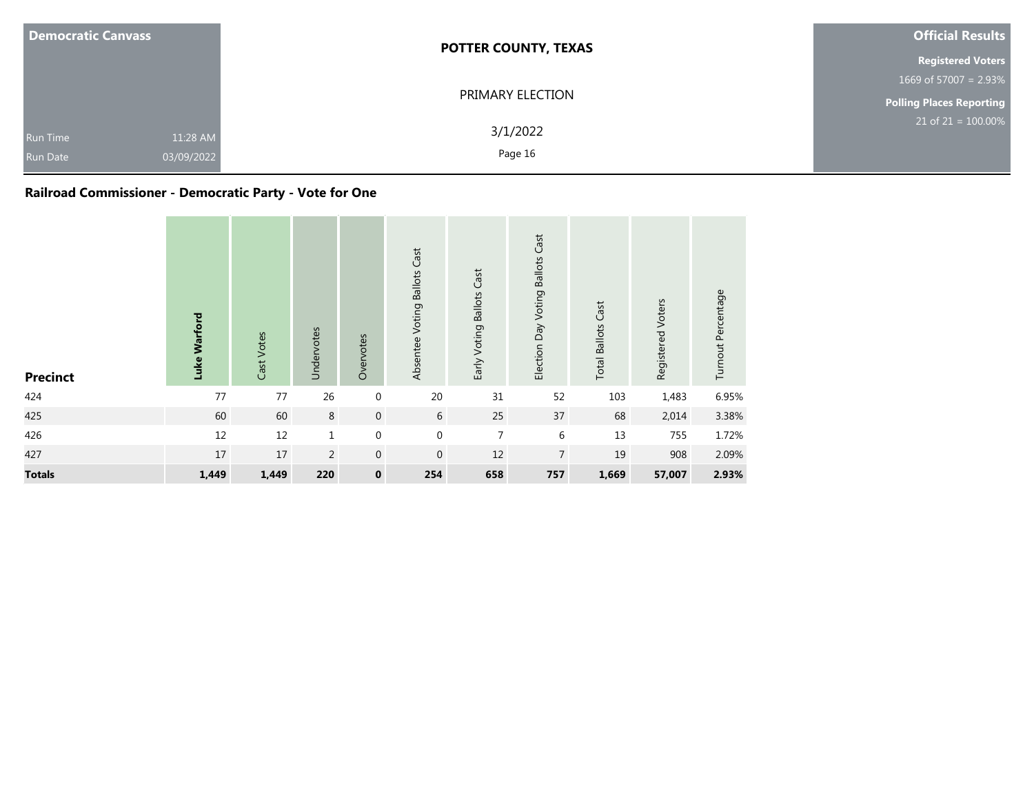| <b>Democratic Canvass</b>          |                        | <b>POTTER COUNTY, TEXAS</b> | <b>Official Results</b>  |
|------------------------------------|------------------------|-----------------------------|--------------------------|
|                                    |                        |                             | <b>Registered Voters</b> |
|                                    |                        |                             | 1669 of 57007 = $2.93\%$ |
|                                    |                        | PRIMARY ELECTION            | Polling Places Reporting |
| <b>Run Time</b><br><b>Run Date</b> | 11:28 AM<br>03/09/2022 | 3/1/2022<br>Page 16         | $21$ of $21 = 100.00\%$  |

## **Railroad Commissioner - Democratic Party - Vote for One**

| <b>Precinct</b> | Luke Warford | Cast Votes | Undervotes     | Overvotes        | Absentee Voting Ballots Cast | Early Voting Ballots Cast | Election Day Voting Ballots Cast | <b>Total Ballots Cast</b> | Registered Voters | Turnout Percentage |
|-----------------|--------------|------------|----------------|------------------|------------------------------|---------------------------|----------------------------------|---------------------------|-------------------|--------------------|
| 424             | 77           | 77         | 26             | $\pmb{0}$        | 20                           | 31                        | 52                               | 103                       | 1,483             | 6.95%              |
| 425             | 60           | 60         | 8              | $\boldsymbol{0}$ | 6                            | 25                        | 37                               | 68                        | 2,014             | 3.38%              |
| 426             | 12           | 12         | $\mathbf 1$    | $\mathbf 0$      | $\mathbf 0$                  | $\overline{7}$            | 6                                | 13                        | 755               | 1.72%              |
| 427             | 17           | 17         | $\overline{2}$ | $\boldsymbol{0}$ | $\mathbf{0}$                 | 12                        | $\overline{7}$                   | 19                        | 908               | 2.09%              |
| <b>Totals</b>   | 1,449        | 1,449      | 220            | $\pmb{0}$        | 254                          | 658                       | 757                              | 1,669                     | 57,007            | 2.93%              |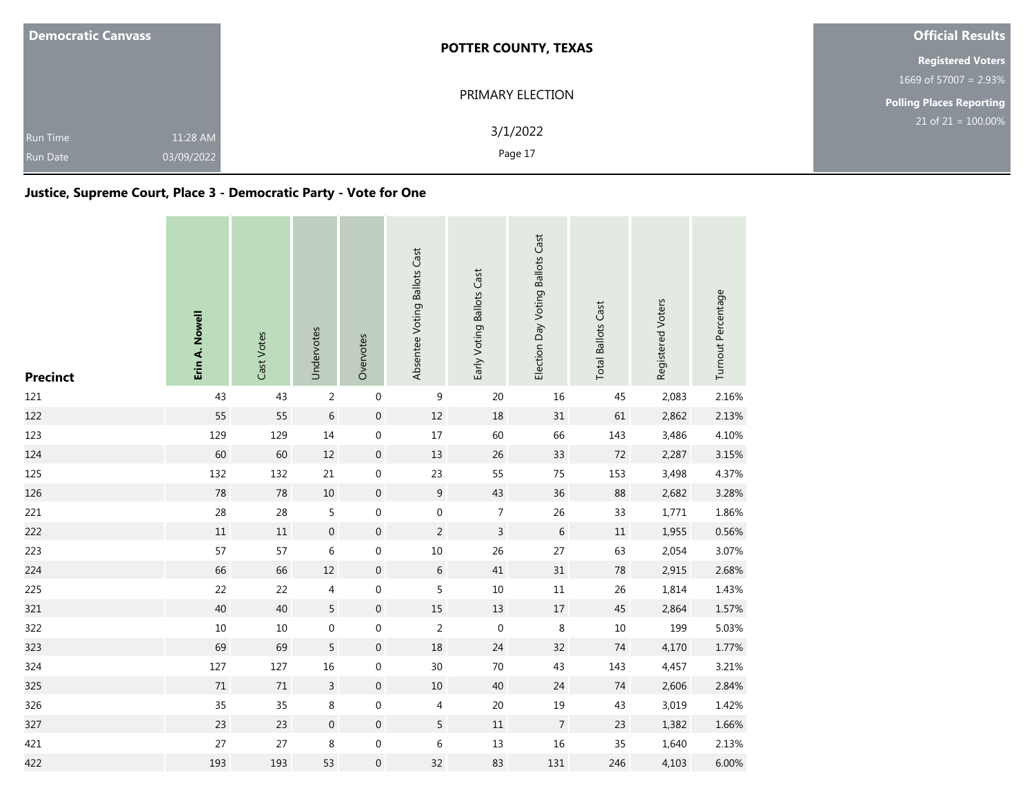| <b>Democratic Canvass</b>          |                        | <b>POTTER COUNTY, TEXAS</b> | <b>Official Results</b>         |
|------------------------------------|------------------------|-----------------------------|---------------------------------|
|                                    |                        |                             | <b>Registered Voters</b>        |
|                                    |                        |                             | 1669 of 57007 = 2.93%           |
|                                    |                        | PRIMARY ELECTION            | <b>Polling Places Reporting</b> |
| <b>Run Time</b><br><b>Run Date</b> | 11:28 AM<br>03/09/2022 | 3/1/2022<br>Page 17         | 21 of 21 = $100.00\%$           |

## **Justice, Supreme Court, Place 3 - Democratic Party - Vote for One**

| <b>Precinct</b> | Erin A. Nowell | Cast Votes | Undervotes       | Overvotes        | Absentee Voting Ballots Cast | Early Voting Ballots Cast | Election Day Voting Ballots Cast | <b>Total Ballots Cast</b> | Registered Voters | Turnout Percentage |
|-----------------|----------------|------------|------------------|------------------|------------------------------|---------------------------|----------------------------------|---------------------------|-------------------|--------------------|
| 121             | 43             | 43         | $\overline{2}$   | $\boldsymbol{0}$ | 9                            | 20                        | 16                               | 45                        | 2,083             | 2.16%              |
| 122             | 55             | 55         | $\,$ 6 $\,$      | $\,0\,$          | $12\,$                       | 18                        | 31                               | 61                        | 2,862             | 2.13%              |
| 123             | 129            | 129        | 14               | $\boldsymbol{0}$ | $17\,$                       | 60                        | 66                               | 143                       | 3,486             | 4.10%              |
| 124             | 60             | 60         | $12\,$           | $\boldsymbol{0}$ | 13                           | 26                        | 33                               | $72\,$                    | 2,287             | 3.15%              |
| 125             | 132            | 132        | 21               | $\boldsymbol{0}$ | 23                           | 55                        | 75                               | 153                       | 3,498             | 4.37%              |
| 126             | 78             | 78         | $10\,$           | $\boldsymbol{0}$ | $\boldsymbol{9}$             | 43                        | 36                               | 88                        | 2,682             | 3.28%              |
| 221             | 28             | 28         | 5                | 0                | $\boldsymbol{0}$             | $\overline{7}$            | 26                               | 33                        | 1,771             | 1.86%              |
| 222             | 11             | 11         | $\mathbf 0$      | $\mathbf 0$      | $\overline{c}$               | $\mathbf{3}$              | 6                                | $11\,$                    | 1,955             | 0.56%              |
| 223             | 57             | 57         | 6                | $\boldsymbol{0}$ | $10\,$                       | 26                        | 27                               | 63                        | 2,054             | 3.07%              |
| 224             | 66             | 66         | $12\,$           | $\mathbf{0}$     | 6                            | 41                        | 31                               | 78                        | 2,915             | 2.68%              |
| 225             | 22             | 22         | 4                | $\boldsymbol{0}$ | 5                            | $10\,$                    | $11\,$                           | 26                        | 1,814             | 1.43%              |
| 321             | 40             | 40         | $5\overline{)}$  | $\boldsymbol{0}$ | $15\,$                       | $13\,$                    | $17\,$                           | 45                        | 2,864             | 1.57%              |
| 322             | $10\,$         | $10\,$     | $\mathbf 0$      | $\mathbf 0$      | $\overline{2}$               | $\mathbf 0$               | $\,8\,$                          | $10\,$                    | 199               | 5.03%              |
| 323             | 69             | 69         | 5                | $\boldsymbol{0}$ | 18                           | 24                        | 32                               | 74                        | 4,170             | 1.77%              |
| 324             | 127            | 127        | 16               | 0                | 30                           | 70                        | 43                               | 143                       | 4,457             | 3.21%              |
| 325             | $71\,$         | $71\,$     | $\overline{3}$   | $\boldsymbol{0}$ | $10\,$                       | 40                        | 24                               | 74                        | 2,606             | 2.84%              |
| 326             | 35             | 35         | $\,8\,$          | 0                | 4                            | 20                        | 19                               | 43                        | 3,019             | 1.42%              |
| 327             | 23             | 23         | $\boldsymbol{0}$ | $\boldsymbol{0}$ | 5                            | $11\,$                    | $\overline{7}$                   | 23                        | 1,382             | 1.66%              |
| 421             | 27             | 27         | 8                | $\boldsymbol{0}$ | 6                            | 13                        | 16                               | 35                        | 1,640             | 2.13%              |
| 422             | 193            | 193        | 53               | $\boldsymbol{0}$ | 32                           | 83                        | 131                              | 246                       | 4,103             | 6.00%              |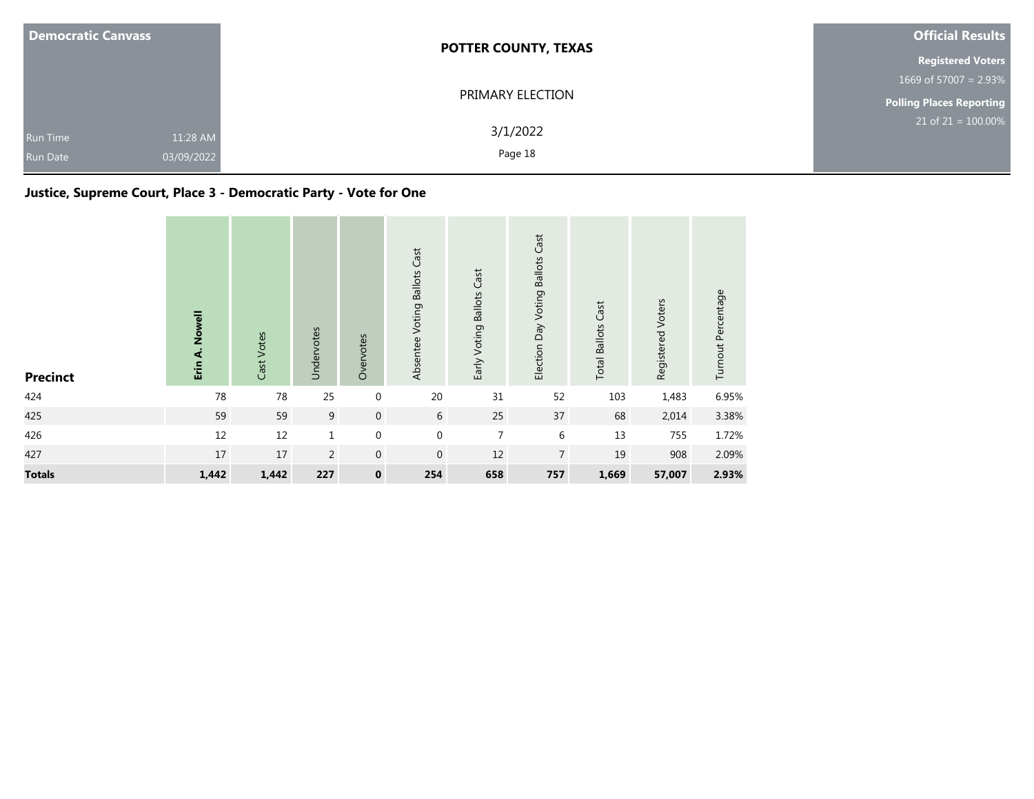| <b>Democratic Canvass</b>                        | <b>POTTER COUNTY, TEXAS</b>     | <b>Official Results</b>  |
|--------------------------------------------------|---------------------------------|--------------------------|
|                                                  |                                 | <b>Registered Voters</b> |
|                                                  |                                 | 1669 of 57007 = $2.93\%$ |
|                                                  | PRIMARY ELECTION                | Polling Places Reporting |
| <b>Run Time</b><br>03/09/2022<br><b>Run Date</b> | 3/1/2022<br>11:28 AM<br>Page 18 | $21$ of $21 = 100.00\%$  |

## **Justice, Supreme Court, Place 3 - Democratic Party - Vote for One**

| <b>Precinct</b> | Erin A. Nowell | Cast Votes | Undervotes     | Overvotes        | Absentee Voting Ballots Cast | Early Voting Ballots Cast | Election Day Voting Ballots Cast | <b>Total Ballots Cast</b> | Registered Voters | Turnout Percentage |
|-----------------|----------------|------------|----------------|------------------|------------------------------|---------------------------|----------------------------------|---------------------------|-------------------|--------------------|
| 424             | 78             | 78         | 25             | $\boldsymbol{0}$ | 20                           | 31                        | 52                               | 103                       | 1,483             | 6.95%              |
| 425             | 59             | 59         | 9              | $\mathbf 0$      | 6                            | 25                        | 37                               | 68                        | 2,014             | 3.38%              |
| 426             | 12             | $12\,$     | $\mathbf{1}$   | $\boldsymbol{0}$ | $\mathbf 0$                  | $\overline{7}$            | 6                                | 13                        | 755               | 1.72%              |
| 427             | 17             | 17         | $\overline{2}$ | $\mathbf 0$      | $\mathbf 0$                  | 12                        | $\overline{7}$                   | 19                        | 908               | 2.09%              |
| <b>Totals</b>   | 1,442          | 1,442      | 227            | $\pmb{0}$        | 254                          | 658                       | 757                              | 1,669                     | 57,007            | 2.93%              |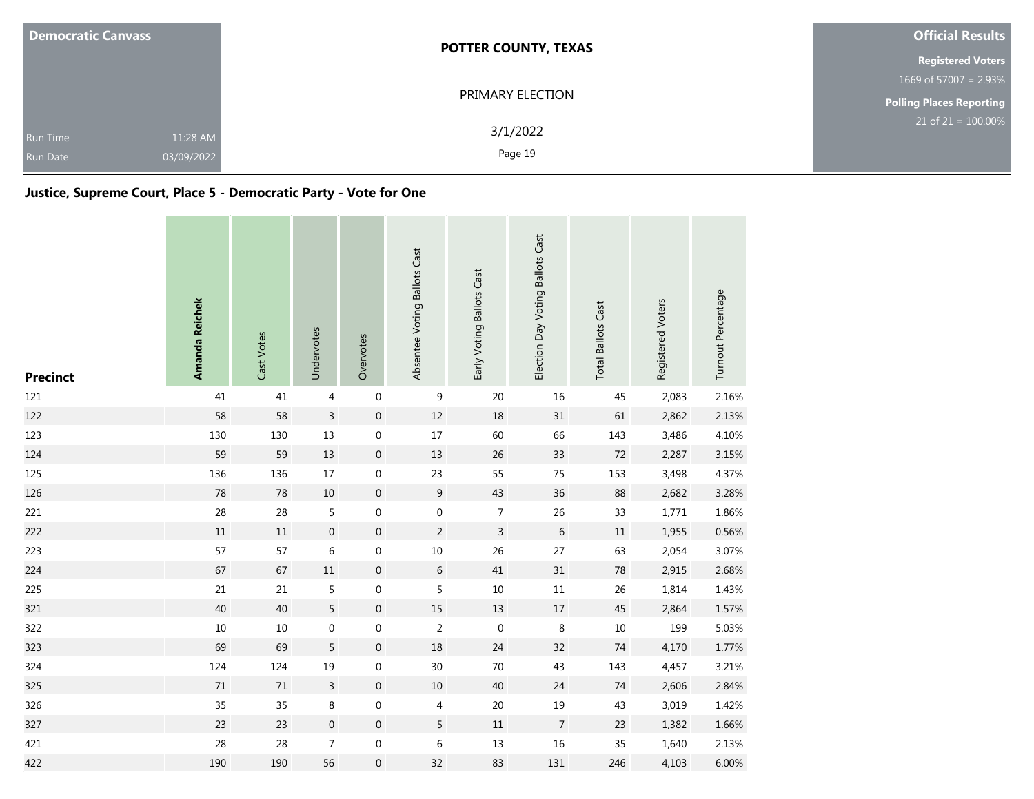| <b>Democratic Canvass</b>          |                        | <b>POTTER COUNTY, TEXAS</b> | <b>Official Results</b>         |
|------------------------------------|------------------------|-----------------------------|---------------------------------|
|                                    |                        |                             | <b>Registered Voters</b>        |
|                                    |                        |                             | 1669 of 57007 = 2.93%           |
|                                    |                        | PRIMARY ELECTION            | <b>Polling Places Reporting</b> |
| <b>Run Time</b><br><b>Run Date</b> | 11:28 AM<br>03/09/2022 | 3/1/2022<br>Page 19         | $21$ of $21 = 100.00\%$         |

## **Justice, Supreme Court, Place 5 - Democratic Party - Vote for One**

| <b>Precinct</b> | Amanda Reichek | Cast Votes | Undervotes       | Overvotes        | Absentee Voting Ballots Cast | Early Voting Ballots Cast | Election Day Voting Ballots Cast | <b>Total Ballots Cast</b> | Registered Voters | Turnout Percentage |
|-----------------|----------------|------------|------------------|------------------|------------------------------|---------------------------|----------------------------------|---------------------------|-------------------|--------------------|
| 121             | 41             | 41         | $\overline{4}$   | $\boldsymbol{0}$ | 9                            | 20                        | 16                               | 45                        | 2,083             | 2.16%              |
| 122             | 58             | 58         | $\mathsf{3}$     | $\,0\,$          | $12\,$                       | 18                        | 31                               | 61                        | 2,862             | 2.13%              |
| 123             | 130            | 130        | 13               | $\boldsymbol{0}$ | $17\,$                       | 60                        | 66                               | 143                       | 3,486             | 4.10%              |
| 124             | 59             | 59         | 13               | $\mathbf 0$      | 13                           | 26                        | 33                               | $72\,$                    | 2,287             | 3.15%              |
| 125             | 136            | 136        | $17\,$           | $\boldsymbol{0}$ | 23                           | 55                        | 75                               | 153                       | 3,498             | 4.37%              |
| 126             | 78             | 78         | $10\,$           | $\boldsymbol{0}$ | $\boldsymbol{9}$             | 43                        | 36                               | 88                        | 2,682             | 3.28%              |
| 221             | 28             | 28         | 5                | 0                | $\boldsymbol{0}$             | $\overline{7}$            | 26                               | 33                        | 1,771             | 1.86%              |
| 222             | 11             | 11         | $\mathbf 0$      | $\mathbf 0$      | $\overline{c}$               | $\mathbf{3}$              | 6                                | $11\,$                    | 1,955             | 0.56%              |
| 223             | 57             | 57         | 6                | $\boldsymbol{0}$ | $10\,$                       | 26                        | 27                               | 63                        | 2,054             | 3.07%              |
| 224             | 67             | 67         | $11\,$           | $\mathbf{0}$     | 6                            | 41                        | 31                               | 78                        | 2,915             | 2.68%              |
| 225             | 21             | 21         | 5                | $\boldsymbol{0}$ | 5                            | $10\,$                    | $11\,$                           | 26                        | 1,814             | 1.43%              |
| 321             | 40             | 40         | $5\overline{)}$  | $\boldsymbol{0}$ | $15\,$                       | $13\,$                    | $17\,$                           | 45                        | 2,864             | 1.57%              |
| 322             | $10\,$         | $10\,$     | $\mathbf 0$      | $\mathbf 0$      | $\overline{2}$               | $\mathbf 0$               | $\,8\,$                          | $10\,$                    | 199               | 5.03%              |
| 323             | 69             | 69         | 5                | $\boldsymbol{0}$ | 18                           | 24                        | 32                               | 74                        | 4,170             | 1.77%              |
| 324             | 124            | 124        | 19               | 0                | 30                           | 70                        | 43                               | 143                       | 4,457             | 3.21%              |
| 325             | $71\,$         | $71\,$     | $\overline{3}$   | $\boldsymbol{0}$ | $10\,$                       | 40                        | 24                               | 74                        | 2,606             | 2.84%              |
| 326             | 35             | 35         | $\,8\,$          | 0                | 4                            | 20                        | 19                               | 43                        | 3,019             | 1.42%              |
| 327             | 23             | 23         | $\boldsymbol{0}$ | $\boldsymbol{0}$ | 5                            | $11\,$                    | $\overline{7}$                   | 23                        | 1,382             | 1.66%              |
| 421             | 28             | 28         | $\overline{7}$   | $\boldsymbol{0}$ | 6                            | 13                        | 16                               | 35                        | 1,640             | 2.13%              |
| 422             | 190            | 190        | 56               | $\boldsymbol{0}$ | 32                           | 83                        | 131                              | 246                       | 4,103             | 6.00%              |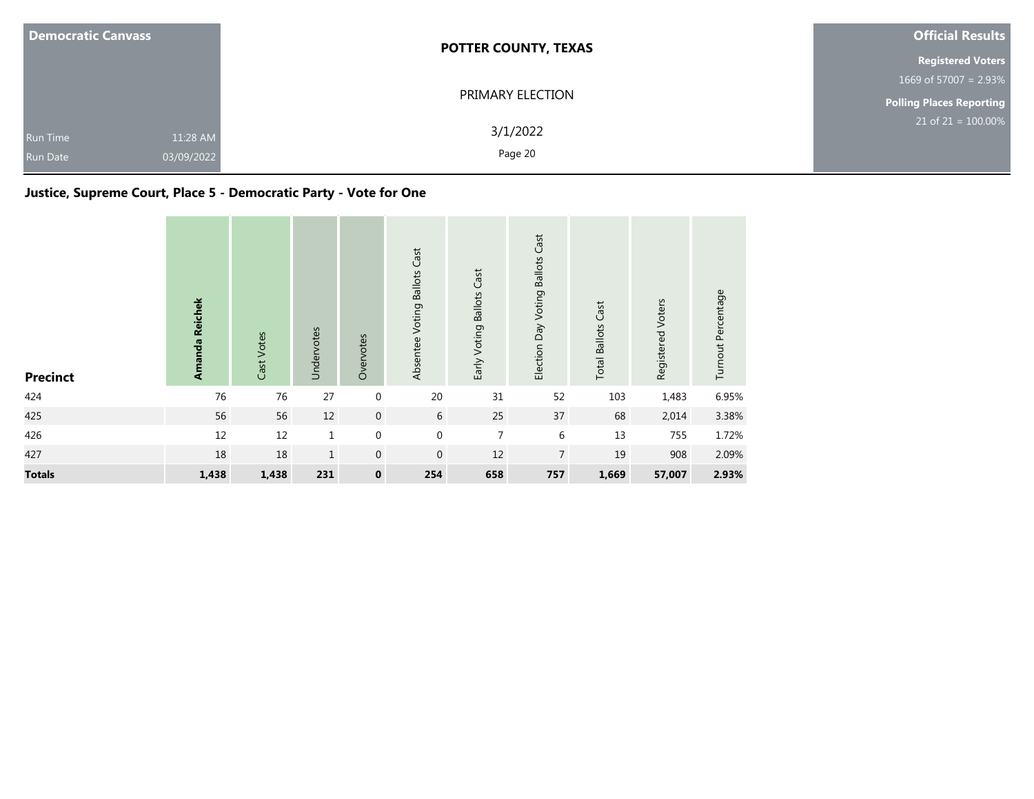| <b>Democratic Canvass</b>                                    | <b>POTTER COUNTY, TEXAS</b> | <b>Official Results</b>  |
|--------------------------------------------------------------|-----------------------------|--------------------------|
|                                                              |                             | <b>Registered Voters</b> |
|                                                              |                             | 1669 of 57007 = $2.93\%$ |
|                                                              | PRIMARY ELECTION            | Polling Places Reporting |
| 11:28 AM<br><b>Run Time</b><br>03/09/2022<br><b>Run Date</b> | 3/1/2022<br>Page 20         | $21$ of $21 = 100.00\%$  |

## **Justice, Supreme Court, Place 5 - Democratic Party - Vote for One**

| <b>Precinct</b> | Amanda Reichek | Cast Votes | Undervotes   | Overvotes        | Absentee Voting Ballots Cast | Early Voting Ballots Cast | Election Day Voting Ballots Cast | <b>Total Ballots Cast</b> | Registered Voters | Turnout Percentage |
|-----------------|----------------|------------|--------------|------------------|------------------------------|---------------------------|----------------------------------|---------------------------|-------------------|--------------------|
| 424             | 76             | 76         | 27           | $\boldsymbol{0}$ | 20                           | 31                        | 52                               | 103                       | 1,483             | 6.95%              |
| 425             | 56             | 56         | $12\,$       | $\mathbf 0$      | 6                            | 25                        | 37                               | 68                        | 2,014             | 3.38%              |
| 426             | 12             | $12\,$     | $\mathbf{1}$ | $\boldsymbol{0}$ | $\mathbf 0$                  | $\overline{7}$            | 6                                | 13                        | 755               | 1.72%              |
| 427             | 18             | 18         | $\mathbf{1}$ | $\mathbf 0$      | $\mathbf 0$                  | 12                        | $\overline{7}$                   | 19                        | 908               | 2.09%              |
| <b>Totals</b>   | 1,438          | 1,438      | 231          | $\pmb{0}$        | 254                          | 658                       | 757                              | 1,669                     | 57,007            | 2.93%              |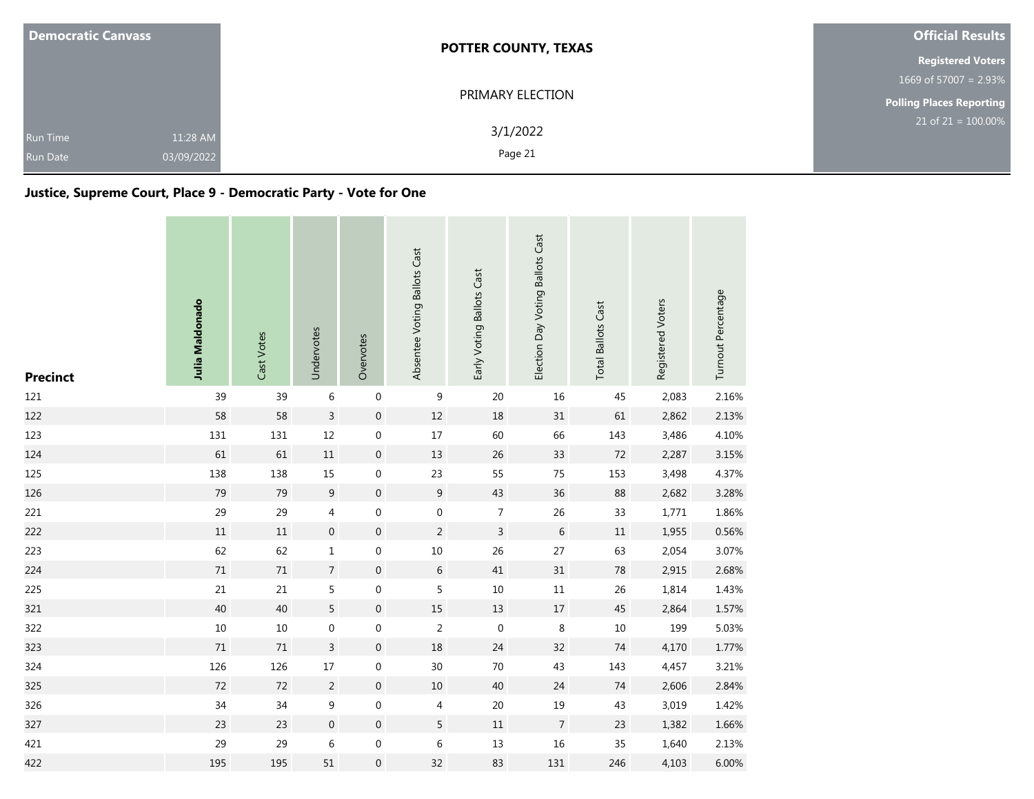| <b>Democratic Canvass</b>          |                        | <b>POTTER COUNTY, TEXAS</b> | <b>Official Results</b>         |  |  |
|------------------------------------|------------------------|-----------------------------|---------------------------------|--|--|
|                                    |                        |                             | <b>Registered Voters</b>        |  |  |
|                                    |                        |                             | 1669 of 57007 = 2.93%           |  |  |
|                                    |                        | PRIMARY ELECTION            | <b>Polling Places Reporting</b> |  |  |
| <b>Run Time</b><br><b>Run Date</b> | 11:28 AM<br>03/09/2022 | 3/1/2022<br>Page 21         | $21$ of $21 = 100.00\%$         |  |  |

## **Justice, Supreme Court, Place 9 - Democratic Party - Vote for One**

| <b>Precinct</b> | Julia Maldonado | Cast Votes | Undervotes       | Overvotes        | Absentee Voting Ballots Cast | Early Voting Ballots Cast | Election Day Voting Ballots Cast | <b>Total Ballots Cast</b> | Registered Voters | Turnout Percentage |
|-----------------|-----------------|------------|------------------|------------------|------------------------------|---------------------------|----------------------------------|---------------------------|-------------------|--------------------|
| 121             | 39              | 39         | $\,$ 6 $\,$      | $\boldsymbol{0}$ | 9                            | 20                        | 16                               | 45                        | 2,083             | 2.16%              |
| 122             | 58              | 58         | $\overline{3}$   | $\,0\,$          | $12\,$                       | 18                        | 31                               | 61                        | 2,862             | 2.13%              |
| 123             | 131             | 131        | 12               | $\boldsymbol{0}$ | $17\,$                       | 60                        | 66                               | 143                       | 3,486             | 4.10%              |
| 124             | 61              | 61         | $11\,$           | $\boldsymbol{0}$ | 13                           | 26                        | 33                               | $72\,$                    | 2,287             | 3.15%              |
| 125             | 138             | 138        | 15               | $\boldsymbol{0}$ | 23                           | 55                        | 75                               | 153                       | 3,498             | 4.37%              |
| 126             | 79              | 79         | 9                | $\boldsymbol{0}$ | $\boldsymbol{9}$             | 43                        | 36                               | 88                        | 2,682             | 3.28%              |
| 221             | 29              | 29         | 4                | 0                | $\boldsymbol{0}$             | $\overline{7}$            | 26                               | 33                        | 1,771             | 1.86%              |
| 222             | 11              | $11\,$     | $\overline{0}$   | $\mathbf 0$      | $\overline{c}$               | $\mathsf{3}$              | 6                                | $11\,$                    | 1,955             | 0.56%              |
| 223             | 62              | 62         | $\,1\,$          | $\boldsymbol{0}$ | $10\,$                       | 26                        | 27                               | 63                        | 2,054             | 3.07%              |
| 224             | $71\,$          | 71         | $\overline{7}$   | $\mathbf{0}$     | 6                            | 41                        | 31                               | 78                        | 2,915             | 2.68%              |
| 225             | 21              | 21         | 5                | $\boldsymbol{0}$ | 5                            | $10\,$                    | $11\,$                           | 26                        | 1,814             | 1.43%              |
| 321             | 40              | 40         | $5\overline{)}$  | $\boldsymbol{0}$ | $15\,$                       | $13\,$                    | $17\,$                           | 45                        | 2,864             | 1.57%              |
| 322             | $10\,$          | $10\,$     | $\mathbf 0$      | $\mathbf 0$      | $\overline{2}$               | $\mathbf 0$               | $\,8\,$                          | $10\,$                    | 199               | 5.03%              |
| 323             | $71\,$          | $71\,$     | $\mathsf{3}$     | $\boldsymbol{0}$ | 18                           | 24                        | 32                               | 74                        | 4,170             | 1.77%              |
| 324             | 126             | 126        | $17\,$           | 0                | 30                           | 70                        | 43                               | 143                       | 4,457             | 3.21%              |
| 325             | $72\,$          | 72         | $\overline{2}$   | $\mathbf 0$      | $10\,$                       | 40                        | 24                               | 74                        | 2,606             | 2.84%              |
| 326             | 34              | 34         | $\boldsymbol{9}$ | 0                | 4                            | 20                        | 19                               | 43                        | 3,019             | 1.42%              |
| 327             | 23              | 23         | $\boldsymbol{0}$ | $\boldsymbol{0}$ | 5                            | $11\,$                    | $\overline{7}$                   | 23                        | 1,382             | 1.66%              |
| 421             | 29              | 29         | 6                | $\boldsymbol{0}$ | 6                            | 13                        | 16                               | 35                        | 1,640             | 2.13%              |
| 422             | 195             | 195        | 51               | $\boldsymbol{0}$ | 32                           | 83                        | 131                              | 246                       | 4,103             | 6.00%              |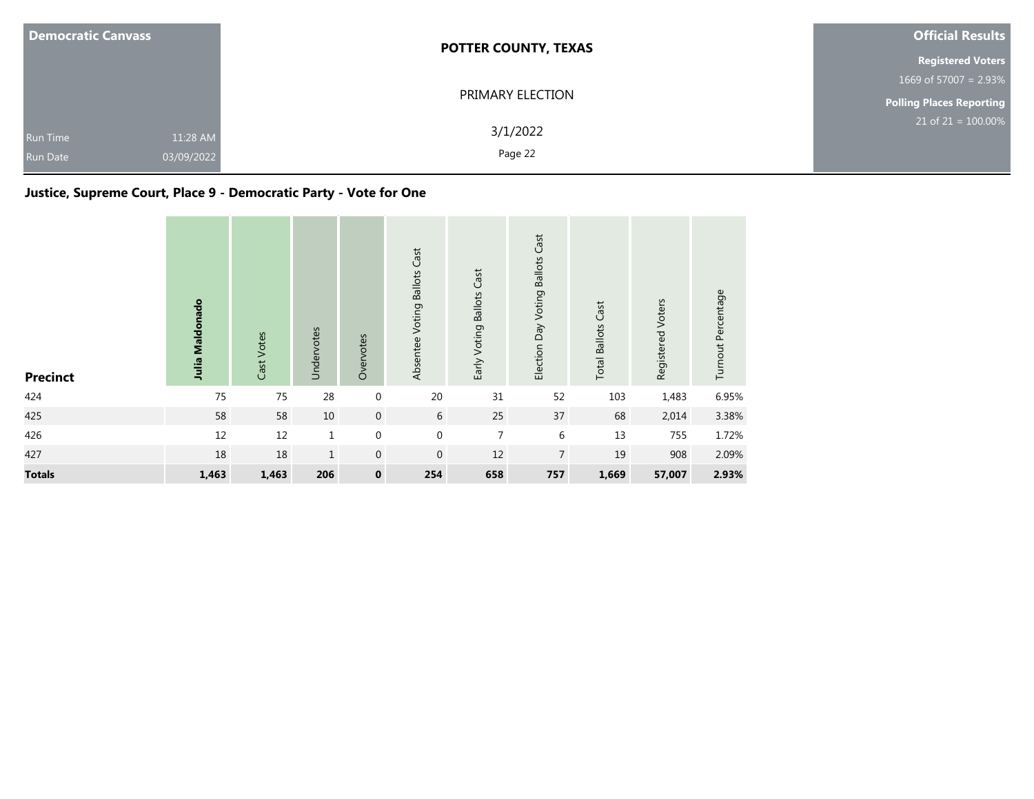| <b>Democratic Canvass</b>                                    | <b>POTTER COUNTY, TEXAS</b> | <b>Official Results</b>         |  |  |
|--------------------------------------------------------------|-----------------------------|---------------------------------|--|--|
|                                                              |                             | <b>Registered Voters</b>        |  |  |
|                                                              |                             | 1669 of 57007 = $2.93\%$        |  |  |
|                                                              | PRIMARY ELECTION            | <b>Polling Places Reporting</b> |  |  |
| 11:28 AM<br><b>Run Time</b><br>03/09/2022<br><b>Run Date</b> | 3/1/2022<br>Page 22         | $21$ of $21 = 100.00\%$         |  |  |

## **Justice, Supreme Court, Place 9 - Democratic Party - Vote for One**

| <b>Precinct</b> | Julia Maldonado | Cast Votes | Undervotes   | Overvotes        | Absentee Voting Ballots Cast | Early Voting Ballots Cast | Election Day Voting Ballots Cast | <b>Total Ballots Cast</b> | Registered Voters | Turnout Percentage |
|-----------------|-----------------|------------|--------------|------------------|------------------------------|---------------------------|----------------------------------|---------------------------|-------------------|--------------------|
| 424             | 75              | 75         | 28           | $\boldsymbol{0}$ | 20                           | 31                        | 52                               | 103                       | 1,483             | 6.95%              |
| 425             | 58              | 58         | 10           | $\boldsymbol{0}$ | 6                            | 25                        | 37                               | 68                        | 2,014             | 3.38%              |
| 426             | 12              | $12\,$     | $\mathbf{1}$ | $\boldsymbol{0}$ | $\mathbf 0$                  | $\overline{7}$            | 6                                | 13                        | 755               | 1.72%              |
| 427             | 18              | 18         | $\mathbf{1}$ | $\mathbf 0$      | $\mathbf 0$                  | 12                        | $\overline{7}$                   | 19                        | 908               | 2.09%              |
| <b>Totals</b>   | 1,463           | 1,463      | 206          | $\pmb{0}$        | 254                          | 658                       | 757                              | 1,669                     | 57,007            | 2.93%              |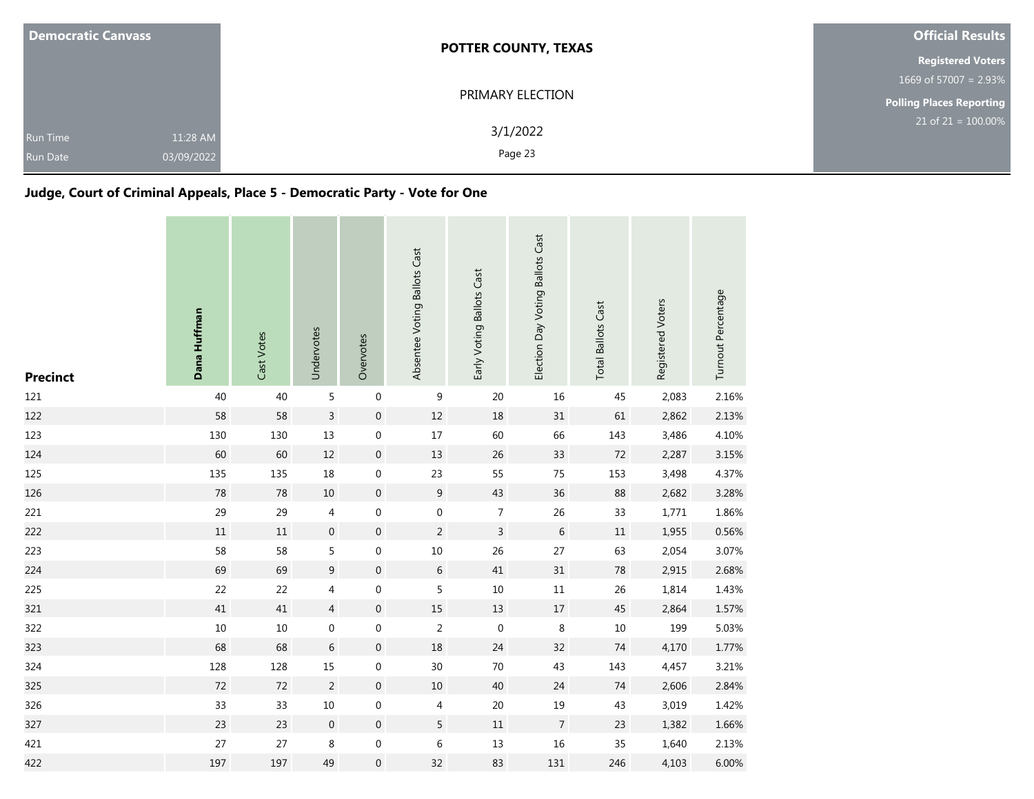| <b>Democratic Canvass</b>          |                        | <b>POTTER COUNTY, TEXAS</b> | <b>Official Results</b>  |  |
|------------------------------------|------------------------|-----------------------------|--------------------------|--|
|                                    |                        |                             | <b>Registered Voters</b> |  |
|                                    |                        |                             | 1669 of 57007 = $2.93\%$ |  |
|                                    |                        | PRIMARY ELECTION            | Polling Places Reporting |  |
| <b>Run Time</b><br><b>Run Date</b> | 11:28 AM<br>03/09/2022 | 3/1/2022<br>Page 23         | $21$ of $21 = 100.00\%$  |  |

## **Judge, Court of Criminal Appeals, Place 5 - Democratic Party - Vote for One**

| <b>Precinct</b> | Dana Huffman | Cast Votes | Undervotes       | Overvotes        | Absentee Voting Ballots Cast | Early Voting Ballots Cast | Election Day Voting Ballots Cast | <b>Total Ballots Cast</b> | Registered Voters | Turnout Percentage |
|-----------------|--------------|------------|------------------|------------------|------------------------------|---------------------------|----------------------------------|---------------------------|-------------------|--------------------|
| 121             | 40           | 40         | 5                | $\boldsymbol{0}$ | 9                            | 20                        | 16                               | 45                        | 2,083             | 2.16%              |
| 122             | 58           | 58         | 3                | $\boldsymbol{0}$ | $12\,$                       | 18                        | 31                               | 61                        | 2,862             | 2.13%              |
| 123             | 130          | 130        | 13               | $\boldsymbol{0}$ | $17\,$                       | 60                        | 66                               | 143                       | 3,486             | 4.10%              |
| 124             | 60           | 60         | $12\,$           | $\boldsymbol{0}$ | 13                           | 26                        | 33                               | 72                        | 2,287             | 3.15%              |
| 125             | 135          | 135        | 18               | $\boldsymbol{0}$ | 23                           | 55                        | 75                               | 153                       | 3,498             | 4.37%              |
| 126             | 78           | 78         | 10               | $\mathbf{0}$     | 9                            | 43                        | 36                               | 88                        | 2,682             | 3.28%              |
| 221             | 29           | 29         | $\overline{4}$   | 0                | $\boldsymbol{0}$             | $\boldsymbol{7}$          | 26                               | 33                        | 1,771             | 1.86%              |
| 222             | $11\,$       | $11\,$     | $\boldsymbol{0}$ | $\boldsymbol{0}$ | $\overline{2}$               | $\overline{3}$            | $\,$ 6 $\,$                      | $11\,$                    | 1,955             | 0.56%              |
| 223             | 58           | 58         | 5                | $\boldsymbol{0}$ | $10\,$                       | 26                        | 27                               | 63                        | 2,054             | 3.07%              |
| 224             | 69           | 69         | $9\,$            | $\boldsymbol{0}$ | 6                            | 41                        | 31                               | ${\bf 78}$                | 2,915             | 2.68%              |
| 225             | 22           | 22         | 4                | $\boldsymbol{0}$ | 5                            | $10\,$                    | $11\,$                           | 26                        | 1,814             | 1.43%              |
| 321             | 41           | $41\,$     | $\overline{4}$   | $\boldsymbol{0}$ | 15                           | 13                        | 17                               | $45\,$                    | 2,864             | 1.57%              |
| 322             | $10\,$       | 10         | $\mathbf 0$      | $\mathbf 0$      | $\overline{2}$               | $\mathbf 0$               | 8                                | 10                        | 199               | 5.03%              |
| 323             | 68           | 68         | 6                | $\boldsymbol{0}$ | 18                           | 24                        | 32                               | 74                        | 4,170             | 1.77%              |
| 324             | 128          | 128        | 15               | $\boldsymbol{0}$ | 30                           | $70\,$                    | 43                               | 143                       | 4,457             | 3.21%              |
| 325             | 72           | 72         | $\overline{2}$   | $\mathbf{0}$     | 10                           | 40                        | 24                               | 74                        | 2,606             | 2.84%              |
| 326             | 33           | 33         | $10\,$           | $\boldsymbol{0}$ | $\overline{4}$               | $20\,$                    | 19                               | 43                        | 3,019             | 1.42%              |
| 327             | 23           | 23         | $\boldsymbol{0}$ | $\mathbf 0$      | 5                            | 11                        | $\overline{7}$                   | 23                        | 1,382             | 1.66%              |
| 421             | 27           | 27         | $\,8\,$          | $\boldsymbol{0}$ | $\,$ 6 $\,$                  | 13                        | $16\,$                           | 35                        | 1,640             | 2.13%              |
| 422             | 197          | 197        | 49               | $\boldsymbol{0}$ | 32                           | 83                        | 131                              | 246                       | 4,103             | 6.00%              |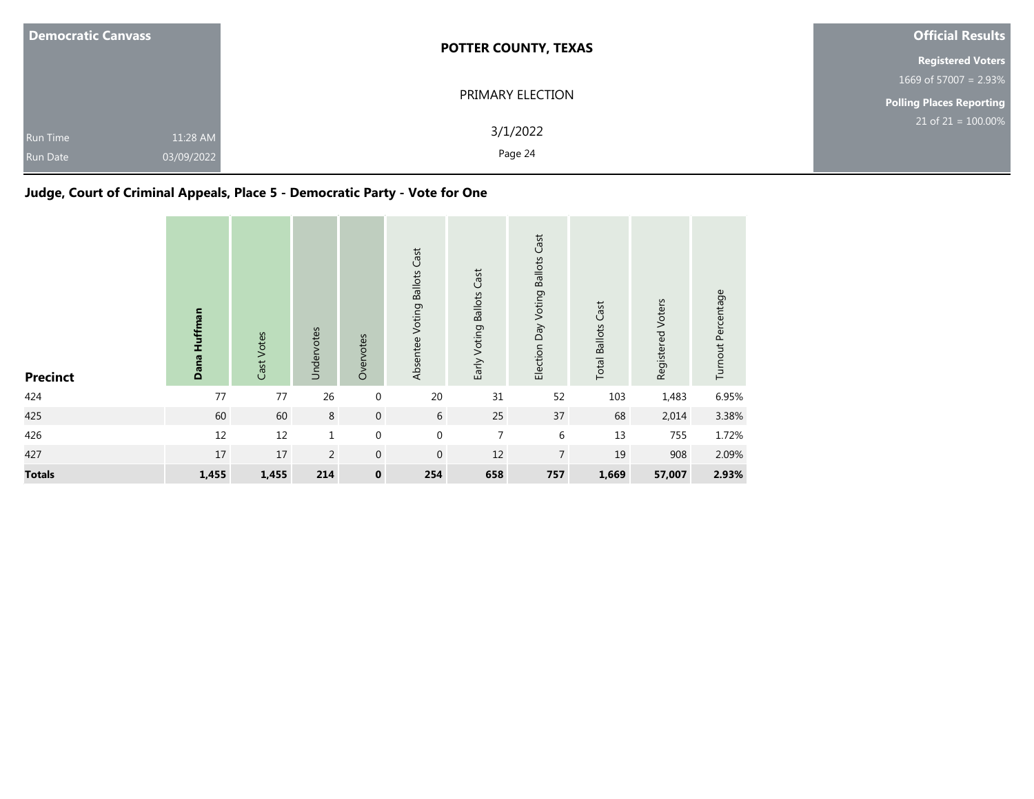| <b>Democratic Canvass</b>   |                        | <b>POTTER COUNTY, TEXAS</b> | <b>Official Results</b>         |  |  |
|-----------------------------|------------------------|-----------------------------|---------------------------------|--|--|
|                             |                        |                             | <b>Registered Voters</b>        |  |  |
|                             |                        |                             | 1669 of 57007 = $2.93\%$        |  |  |
|                             |                        | PRIMARY ELECTION            | <b>Polling Places Reporting</b> |  |  |
| Run Time<br><b>Run Date</b> | 11:28 AM<br>03/09/2022 | 3/1/2022<br>Page 24         | $21$ of 21 = 100.00%            |  |  |

# **Judge, Court of Criminal Appeals, Place 5 - Democratic Party - Vote for One**

| <b>Precinct</b> | Dana Huffman | Cast Votes | Undervotes     | Overvotes        | Absentee Voting Ballots Cast | Early Voting Ballots Cast | Election Day Voting Ballots Cast | <b>Total Ballots Cast</b> | Registered Voters | Turnout Percentage |
|-----------------|--------------|------------|----------------|------------------|------------------------------|---------------------------|----------------------------------|---------------------------|-------------------|--------------------|
| 424             | 77           | 77         | 26             | $\boldsymbol{0}$ | 20                           | 31                        | 52                               | 103                       | 1,483             | 6.95%              |
| 425             | 60           | 60         | 8              | $\boldsymbol{0}$ | 6                            | 25                        | 37                               | 68                        | 2,014             | 3.38%              |
| 426             | 12           | $12\,$     | $1\,$          | $\mathbf 0$      | $\mathbf 0$                  | $\overline{7}$            | $6\,$                            | 13                        | 755               | 1.72%              |
| 427             | 17           | 17         | $\overline{2}$ | $\mathbf 0$      | $\mathbf 0$                  | 12                        | $\overline{7}$                   | 19                        | 908               | 2.09%              |
| <b>Totals</b>   | 1,455        | 1,455      | 214            | $\pmb{0}$        | 254                          | 658                       | 757                              | 1,669                     | 57,007            | 2.93%              |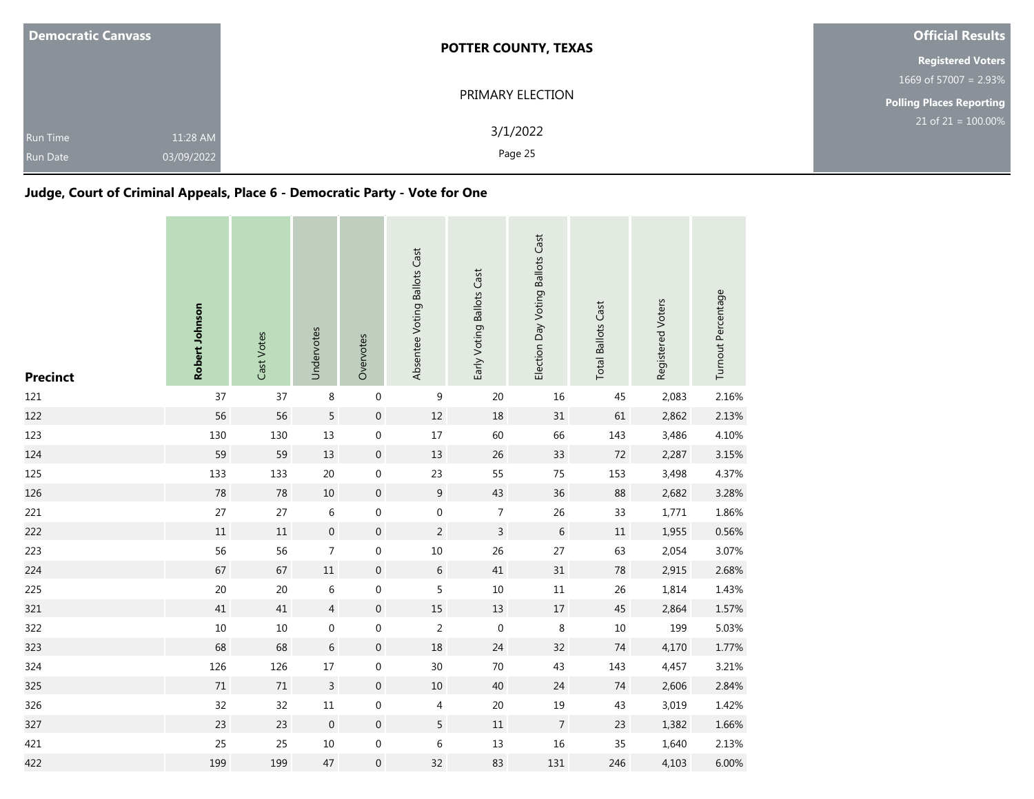| <b>Democratic Canvass</b>                                    | <b>POTTER COUNTY, TEXAS</b> | <b>Official Results</b>  |  |
|--------------------------------------------------------------|-----------------------------|--------------------------|--|
|                                                              |                             | <b>Registered Voters</b> |  |
|                                                              |                             | 1669 of 57007 = $2.93\%$ |  |
|                                                              | PRIMARY ELECTION            | Polling Places Reporting |  |
| 11:28 AM<br><b>Run Time</b><br>03/09/2022<br><b>Run Date</b> | 3/1/2022<br>Page 25         | $21$ of $21 = 100.00\%$  |  |

## **Judge, Court of Criminal Appeals, Place 6 - Democratic Party - Vote for One**

| <b>Precinct</b> | Robert Johnson | Cast Votes | Undervotes       | Overvotes        | Absentee Voting Ballots Cast | Early Voting Ballots Cast | Election Day Voting Ballots Cast | <b>Total Ballots Cast</b> | Registered Voters | Turnout Percentage |
|-----------------|----------------|------------|------------------|------------------|------------------------------|---------------------------|----------------------------------|---------------------------|-------------------|--------------------|
| 121             | 37             | 37         | $\,8\,$          | $\boldsymbol{0}$ | 9                            | 20                        | 16                               | 45                        | 2,083             | 2.16%              |
| 122             | 56             | 56         | $\overline{5}$   | $\boldsymbol{0}$ | $12\,$                       | 18                        | 31                               | 61                        | 2,862             | 2.13%              |
| 123             | 130            | 130        | 13               | $\boldsymbol{0}$ | $17\,$                       | 60                        | 66                               | 143                       | 3,486             | 4.10%              |
| 124             | 59             | 59         | 13               | $\boldsymbol{0}$ | 13                           | 26                        | 33                               | 72                        | 2,287             | 3.15%              |
| 125             | 133            | 133        | $20\,$           | $\boldsymbol{0}$ | 23                           | 55                        | 75                               | 153                       | 3,498             | 4.37%              |
| 126             | 78             | 78         | 10               | $\mathbf{0}$     | 9                            | 43                        | 36                               | 88                        | 2,682             | 3.28%              |
| 221             | $27\,$         | 27         | 6                | 0                | $\boldsymbol{0}$             | $\boldsymbol{7}$          | 26                               | 33                        | 1,771             | 1.86%              |
| 222             | $11\,$         | $11\,$     | $\boldsymbol{0}$ | $\boldsymbol{0}$ | $\overline{2}$               | $\overline{3}$            | $\,$ 6 $\,$                      | $11\,$                    | 1,955             | 0.56%              |
| 223             | 56             | 56         | $\overline{7}$   | $\boldsymbol{0}$ | $10\,$                       | 26                        | 27                               | 63                        | 2,054             | 3.07%              |
| 224             | 67             | 67         | $11\,$           | $\boldsymbol{0}$ | 6                            | 41                        | 31                               | ${\bf 78}$                | 2,915             | 2.68%              |
| 225             | 20             | $20\,$     | 6                | $\boldsymbol{0}$ | 5                            | $10\,$                    | $11\,$                           | 26                        | 1,814             | 1.43%              |
| 321             | 41             | $41\,$     | $\overline{4}$   | $\boldsymbol{0}$ | 15                           | 13                        | 17                               | $45\,$                    | 2,864             | 1.57%              |
| 322             | $10\,$         | 10         | $\mathbf 0$      | $\mathbf 0$      | $\overline{2}$               | $\mathbf 0$               | 8                                | 10                        | 199               | 5.03%              |
| 323             | 68             | 68         | 6                | $\boldsymbol{0}$ | 18                           | 24                        | 32                               | 74                        | 4,170             | 1.77%              |
| 324             | 126            | 126        | $17\,$           | $\boldsymbol{0}$ | 30                           | $70\,$                    | 43                               | 143                       | 4,457             | 3.21%              |
| 325             | 71             | 71         | 3                | $\mathbf{0}$     | 10                           | 40                        | 24                               | 74                        | 2,606             | 2.84%              |
| 326             | 32             | 32         | $11\,$           | $\boldsymbol{0}$ | $\overline{4}$               | $20\,$                    | 19                               | 43                        | 3,019             | 1.42%              |
| 327             | 23             | 23         | $\mathbf 0$      | $\mathbf 0$      | 5                            | 11                        | $\overline{7}$                   | 23                        | 1,382             | 1.66%              |
| 421             | 25             | 25         | $10\,$           | $\boldsymbol{0}$ | 6                            | 13                        | $16\,$                           | 35                        | 1,640             | 2.13%              |
| 422             | 199            | 199        | 47               | $\boldsymbol{0}$ | 32                           | 83                        | 131                              | 246                       | 4,103             | 6.00%              |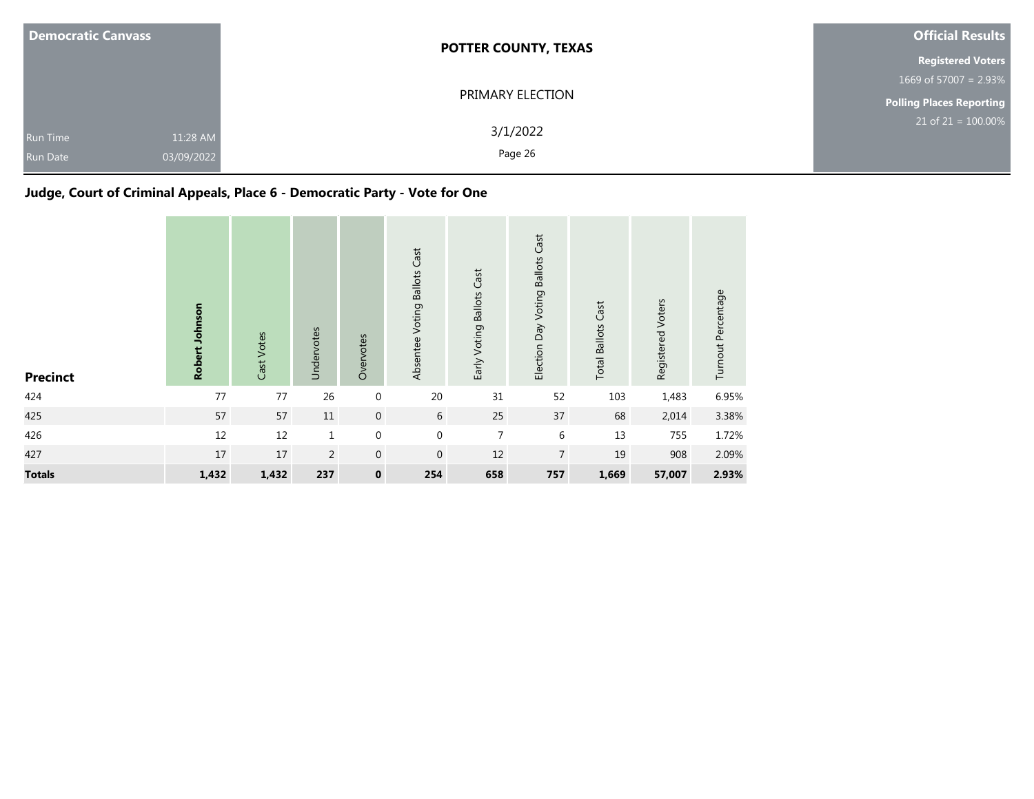| <b>Democratic Canvass</b>   |                        | <b>POTTER COUNTY, TEXAS</b> | <b>Official Results</b>         |  |  |
|-----------------------------|------------------------|-----------------------------|---------------------------------|--|--|
|                             |                        |                             | <b>Registered Voters</b>        |  |  |
|                             |                        |                             | 1669 of 57007 = $2.93\%$        |  |  |
|                             |                        | PRIMARY ELECTION            | <b>Polling Places Reporting</b> |  |  |
| Run Time<br><b>Run Date</b> | 11:28 AM<br>03/09/2022 | 3/1/2022<br>Page 26         | $21$ of 21 = 100.00%            |  |  |

# **Judge, Court of Criminal Appeals, Place 6 - Democratic Party - Vote for One**

| <b>Precinct</b> | Robert Johnson | Cast Votes | Undervotes     | Overvotes        | Absentee Voting Ballots Cast | Early Voting Ballots Cast | Election Day Voting Ballots Cast | <b>Total Ballots Cast</b> | Registered Voters | Turnout Percentage |
|-----------------|----------------|------------|----------------|------------------|------------------------------|---------------------------|----------------------------------|---------------------------|-------------------|--------------------|
| 424             | 77             | 77         | 26             | $\boldsymbol{0}$ | $20\,$                       | 31                        | 52                               | 103                       | 1,483             | 6.95%              |
| 425             | 57             | 57         | $11\,$         | $\boldsymbol{0}$ | 6                            | 25                        | 37                               | 68                        | 2,014             | 3.38%              |
| 426             | 12             | 12         | $\mathbf{1}$   | $\mathbf 0$      | $\mathbf 0$                  | $\overline{7}$            | $\,6\,$                          | 13                        | 755               | 1.72%              |
| 427             | 17             | 17         | $\overline{2}$ | $\mathbf{0}$     | $\mathbf{0}$                 | 12                        | $\overline{7}$                   | 19                        | 908               | 2.09%              |
| <b>Totals</b>   | 1,432          | 1,432      | 237            | $\pmb{0}$        | 254                          | 658                       | 757                              | 1,669                     | 57,007            | 2.93%              |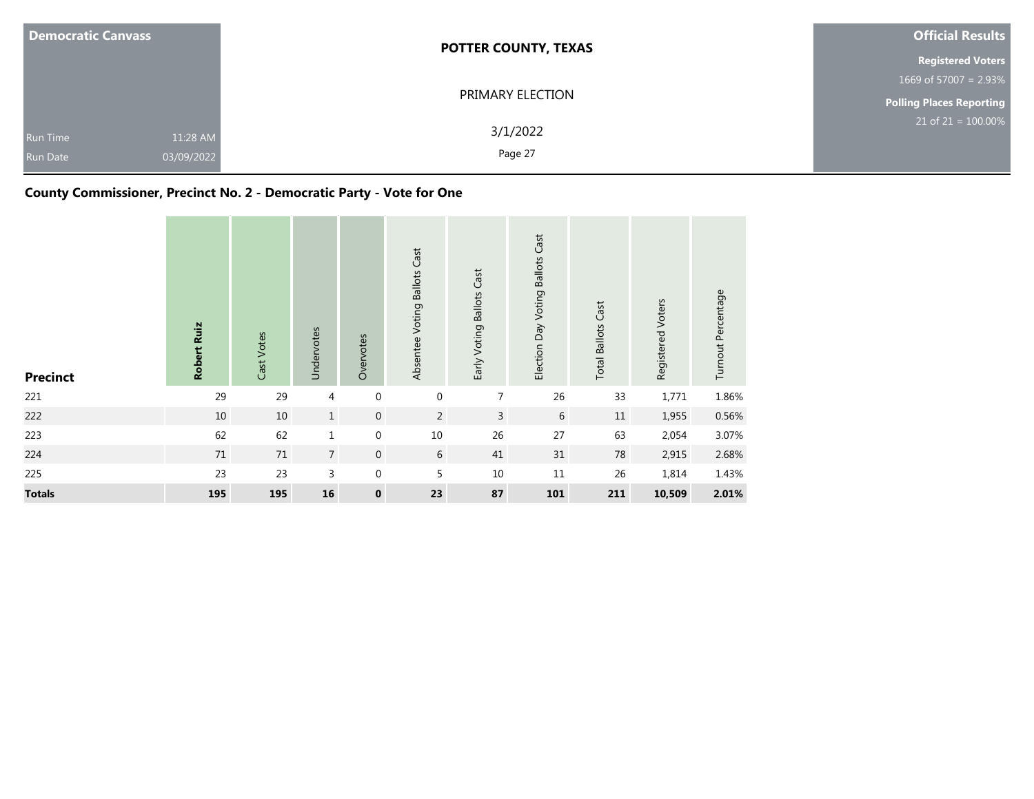| <b>Democratic Canvass</b>          |                        | <b>POTTER COUNTY, TEXAS</b> | <b>Official Results</b>         |  |  |
|------------------------------------|------------------------|-----------------------------|---------------------------------|--|--|
|                                    |                        |                             | <b>Registered Voters</b>        |  |  |
|                                    |                        |                             | 1669 of 57007 = 2.93%           |  |  |
|                                    |                        | PRIMARY ELECTION            | <b>Polling Places Reporting</b> |  |  |
| <b>Run Time</b><br><b>Run Date</b> | 11:28 AM<br>03/09/2022 | 3/1/2022<br>Page 27         | $21$ of $21 = 100.00\%$         |  |  |

## **County Commissioner, Precinct No. 2 - Democratic Party - Vote for One**

| <b>Precinct</b> | Robert Ruiz | Cast Votes | Undervotes   | Overvotes          | Absentee Voting Ballots Cast | Early Voting Ballots Cast | Election Day Voting Ballots Cast | <b>Total Ballots Cast</b> | Registered Voters | Turnout Percentage |
|-----------------|-------------|------------|--------------|--------------------|------------------------------|---------------------------|----------------------------------|---------------------------|-------------------|--------------------|
| 221             | 29          | 29         | 4            | $\mathbf 0$        | $\mathbf 0$                  | 7                         | 26                               | 33                        | 1,771             | 1.86%              |
| 222             | $10\,$      | $10\,$     | $\mathbf{1}$ | $\boldsymbol{0}$   | $\overline{2}$               | $\overline{3}$            | $\sqrt{6}$                       | 11                        | 1,955             | 0.56%              |
| 223             | 62          | 62         | $\mathbf 1$  | $\boldsymbol{0}$   | 10                           | 26                        | 27                               | 63                        | 2,054             | 3.07%              |
| 224             | 71          | 71         | $7^{\circ}$  | $\boldsymbol{0}$   | 6                            | 41                        | 31                               | 78                        | 2,915             | 2.68%              |
| 225             | 23          | 23         | 3            | $\boldsymbol{0}$   | 5                            | 10                        | 11                               | 26                        | 1,814             | 1.43%              |
| <b>Totals</b>   | 195         | 195        | 16           | $\pmb{\mathsf{o}}$ | 23                           | 87                        | 101                              | 211                       | 10,509            | 2.01%              |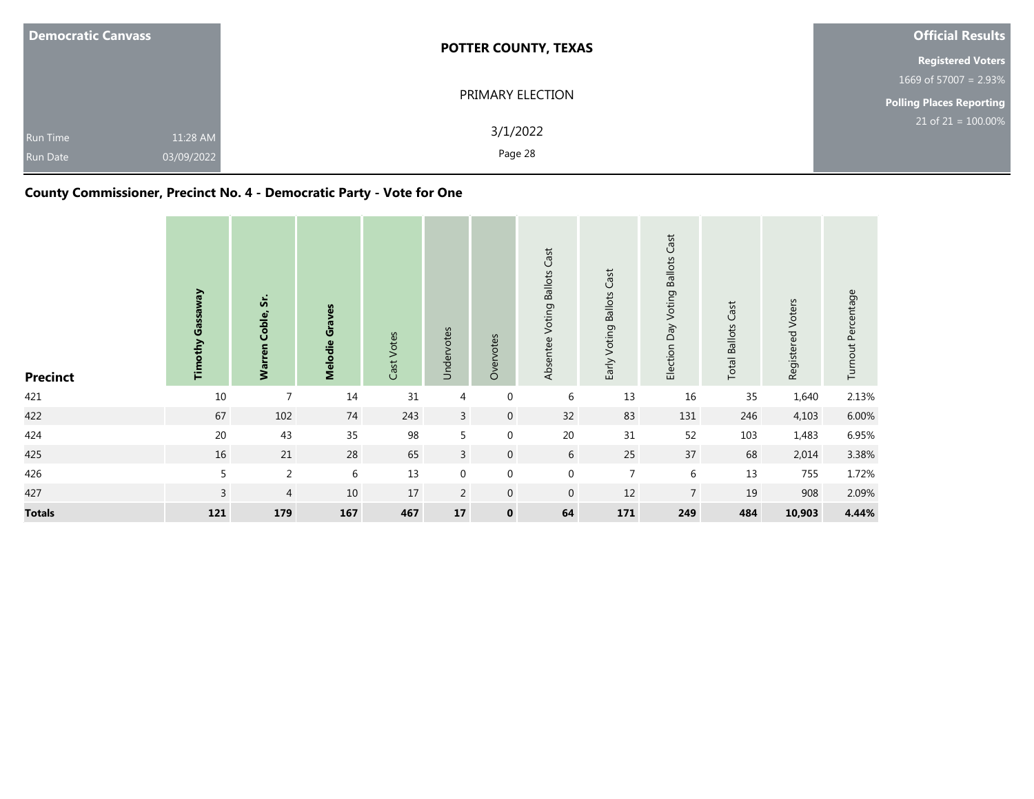| <b>Democratic Canvass</b> |            | <b>POTTER COUNTY, TEXAS</b> | <b>Official Results</b>         |  |  |
|---------------------------|------------|-----------------------------|---------------------------------|--|--|
|                           |            |                             | <b>Registered Voters</b>        |  |  |
|                           |            |                             | 1669 of 57007 = $2.93\%$        |  |  |
|                           |            | PRIMARY ELECTION            | <b>Polling Places Reporting</b> |  |  |
| <b>Run Time</b>           | 11:28 AM   | 3/1/2022                    | $21$ of $21 = 100.00\%$         |  |  |
| <b>Run Date</b>           | 03/09/2022 | Page 28                     |                                 |  |  |

## **County Commissioner, Precinct No. 4 - Democratic Party - Vote for One**

| <b>Precinct</b> | <b>Gassaway</b><br>Timothy | ທ່<br>Warren Coble, | Melodie Graves | Cast Votes | Undervotes       | Overvotes        | Absentee Voting Ballots Cast | Early Voting Ballots Cast | Election Day Voting Ballots Cast | <b>Total Ballots Cast</b> | Registered Voters | Turnout Percentage |
|-----------------|----------------------------|---------------------|----------------|------------|------------------|------------------|------------------------------|---------------------------|----------------------------------|---------------------------|-------------------|--------------------|
| 421             | $10\,$                     | $\overline{7}$      | 14             | $31\,$     | 4                | $\mathbf 0$      | 6                            | 13                        | 16                               | 35                        | 1,640             | 2.13%              |
| 422             | 67                         | 102                 | 74             | 243        | $\overline{3}$   | $\mathbf 0$      | 32                           | 83                        | 131                              | 246                       | 4,103             | 6.00%              |
| 424             | 20                         | 43                  | 35             | 98         | 5                | $\mathbf 0$      | 20                           | 31                        | 52                               | 103                       | 1,483             | 6.95%              |
| 425             | 16                         | 21                  | 28             | 65         | $\overline{3}$   | $\boldsymbol{0}$ | 6                            | 25                        | 37                               | 68                        | 2,014             | 3.38%              |
| 426             | 5                          | $\overline{2}$      | 6              | 13         | $\boldsymbol{0}$ | $\boldsymbol{0}$ | $\mathbf 0$                  | $\overline{7}$            | $\,6\,$                          | 13                        | 755               | 1.72%              |
| 427             | $\overline{3}$             | $\overline{4}$      | 10             | $17$       | $\overline{2}$   | $\mathbf 0$      | $\overline{0}$               | 12                        | $\overline{7}$                   | 19                        | 908               | 2.09%              |
| <b>Totals</b>   | 121                        | 179                 | 167            | 467        | ${\bf 17}$       | $\mathbf 0$      | 64                           | 171                       | 249                              | 484                       | 10,903            | 4.44%              |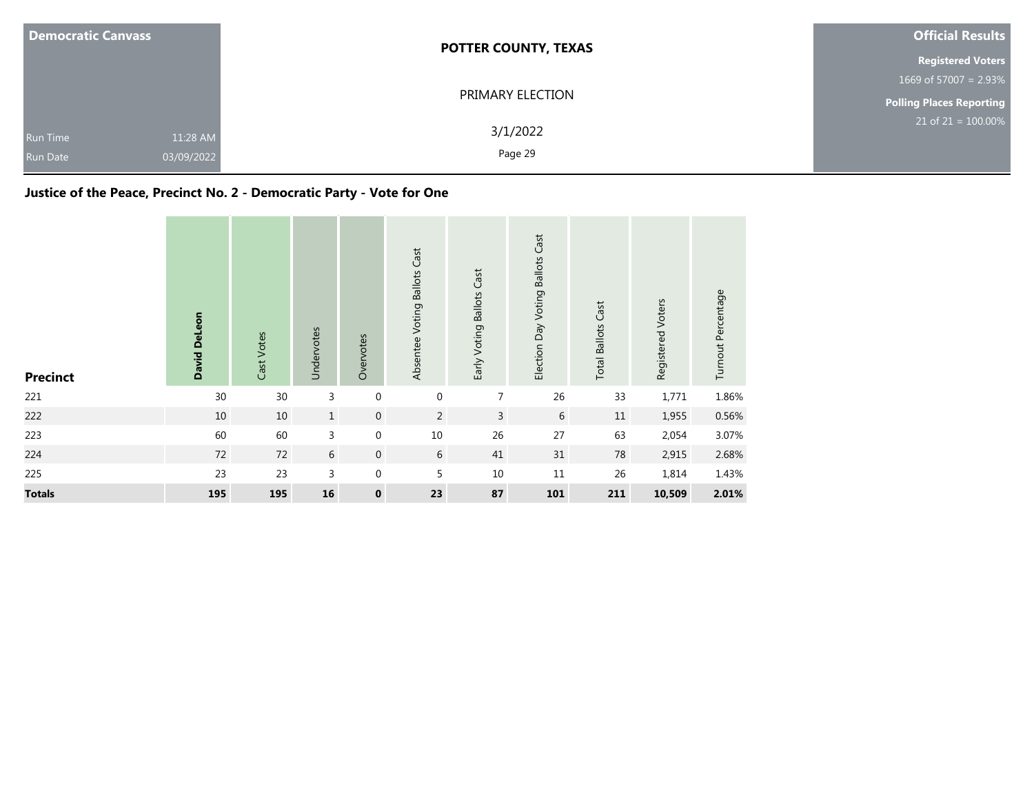| <b>Democratic Canvass</b>                                    | <b>POTTER COUNTY, TEXAS</b> | <b>Official Results</b>            |  |  |
|--------------------------------------------------------------|-----------------------------|------------------------------------|--|--|
|                                                              |                             | <b>Registered Voters</b>           |  |  |
|                                                              |                             | $1669$ of 57007 = 2.93%            |  |  |
|                                                              | PRIMARY ELECTION            | <b>Polling Places Reporting</b>    |  |  |
| 11:28 AM<br><b>Run Time</b><br>03/09/2022<br><b>Run Date</b> | 3/1/2022<br>Page 29         | $21$ of 21 = $\overline{100.00\%}$ |  |  |

## **Justice of the Peace, Precinct No. 2 - Democratic Party - Vote for One**

| <b>Precinct</b> | David DeLeon | Cast Votes | Undervotes   | Overvotes          | Absentee Voting Ballots Cast | Early Voting Ballots Cast | Election Day Voting Ballots Cast | <b>Total Ballots Cast</b> | Registered Voters | Turnout Percentage |
|-----------------|--------------|------------|--------------|--------------------|------------------------------|---------------------------|----------------------------------|---------------------------|-------------------|--------------------|
| 221             | 30           | 30         | 3            | $\mathbf 0$        | 0                            | $\overline{7}$            | 26                               | 33                        | 1,771             | 1.86%              |
| 222             | $10\,$       | 10         | $\mathbf{1}$ | $\boldsymbol{0}$   | 2                            | $\overline{3}$            | $6\,$                            | $11\,$                    | 1,955             | 0.56%              |
| 223             | 60           | 60         | 3            | $\boldsymbol{0}$   | 10                           | 26                        | 27                               | 63                        | 2,054             | 3.07%              |
| 224             | 72           | 72         | 6            | $\boldsymbol{0}$   | 6                            | 41                        | 31                               | 78                        | 2,915             | 2.68%              |
| 225             | 23           | 23         | 3            | $\boldsymbol{0}$   | 5                            | 10                        | 11                               | 26                        | 1,814             | 1.43%              |
| <b>Totals</b>   | 195          | 195        | ${\bf 16}$   | $\pmb{\mathsf{o}}$ | 23                           | 87                        | 101                              | 211                       | 10,509            | 2.01%              |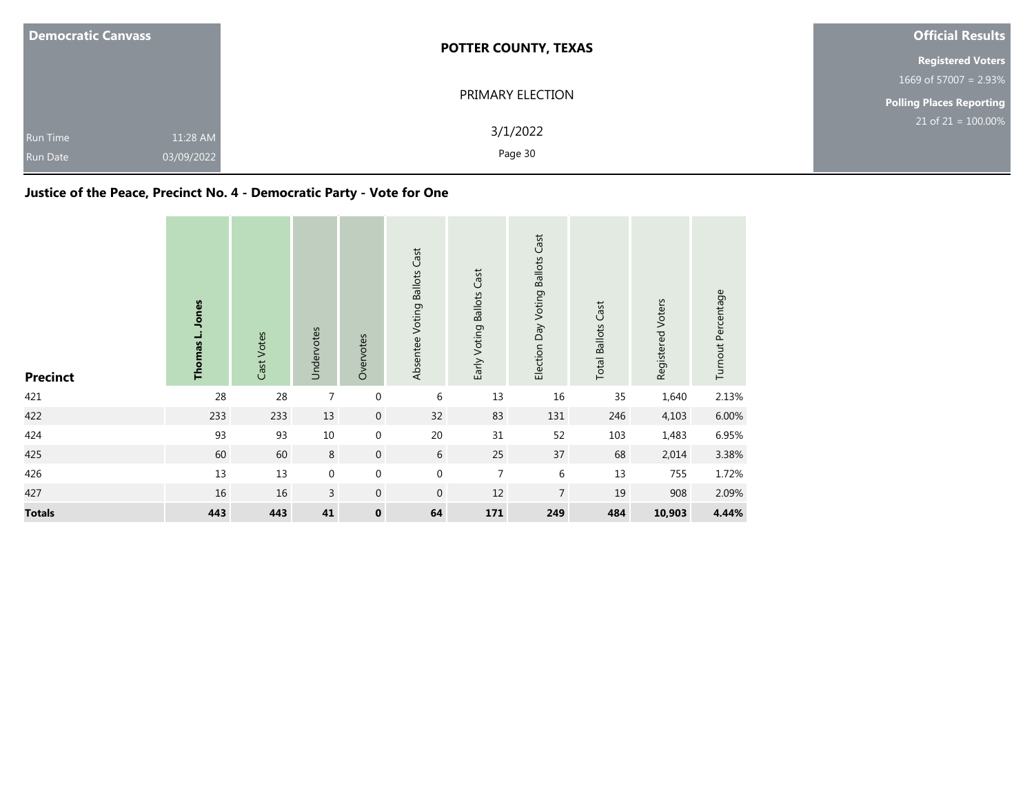| <b>Democratic Canvass</b>                                    | <b>POTTER COUNTY, TEXAS</b> | <b>Official Results</b>  |
|--------------------------------------------------------------|-----------------------------|--------------------------|
|                                                              |                             | <b>Registered Voters</b> |
|                                                              |                             | 1669 of 57007 = $2.93\%$ |
|                                                              | PRIMARY ELECTION            | Polling Places Reporting |
| 11:28 AM<br><b>Run Time</b><br>03/09/2022<br><b>Run Date</b> | 3/1/2022<br>Page 30         | $21$ of $21 = 100.00\%$  |

## **Justice of the Peace, Precinct No. 4 - Democratic Party - Vote for One**

| <b>Precinct</b> | Jones<br>Thomas L. | Cast Votes | Undervotes     | Overvotes        | Absentee Voting Ballots Cast | Early Voting Ballots Cast | Election Day Voting Ballots Cast | <b>Total Ballots Cast</b> | Registered Voters | Turnout Percentage |
|-----------------|--------------------|------------|----------------|------------------|------------------------------|---------------------------|----------------------------------|---------------------------|-------------------|--------------------|
| 421             | 28                 | 28         | $\overline{7}$ | $\boldsymbol{0}$ | 6                            | 13                        | 16                               | 35                        | 1,640             | 2.13%              |
| 422             | 233                | 233        | 13             | $\mathbf 0$      | 32                           | 83                        | 131                              | 246                       | 4,103             | 6.00%              |
| 424             | 93                 | 93         | $10\,$         | $\boldsymbol{0}$ | 20                           | 31                        | 52                               | 103                       | 1,483             | 6.95%              |
| 425             | 60                 | 60         | 8              | $\boldsymbol{0}$ | 6                            | 25                        | 37                               | 68                        | 2,014             | 3.38%              |
| 426             | 13                 | $13\,$     | 0              | $\boldsymbol{0}$ | $\boldsymbol{0}$             | $\overline{7}$            | 6                                | 13                        | 755               | 1.72%              |
| 427             | $16\,$             | 16         | $\mathsf{3}$   | $\boldsymbol{0}$ | $\mathbf{0}$                 | 12                        | $\overline{7}$                   | 19                        | 908               | 2.09%              |
| <b>Totals</b>   | 443                | 443        | 41             | $\pmb{0}$        | 64                           | 171                       | 249                              | 484                       | 10,903            | 4.44%              |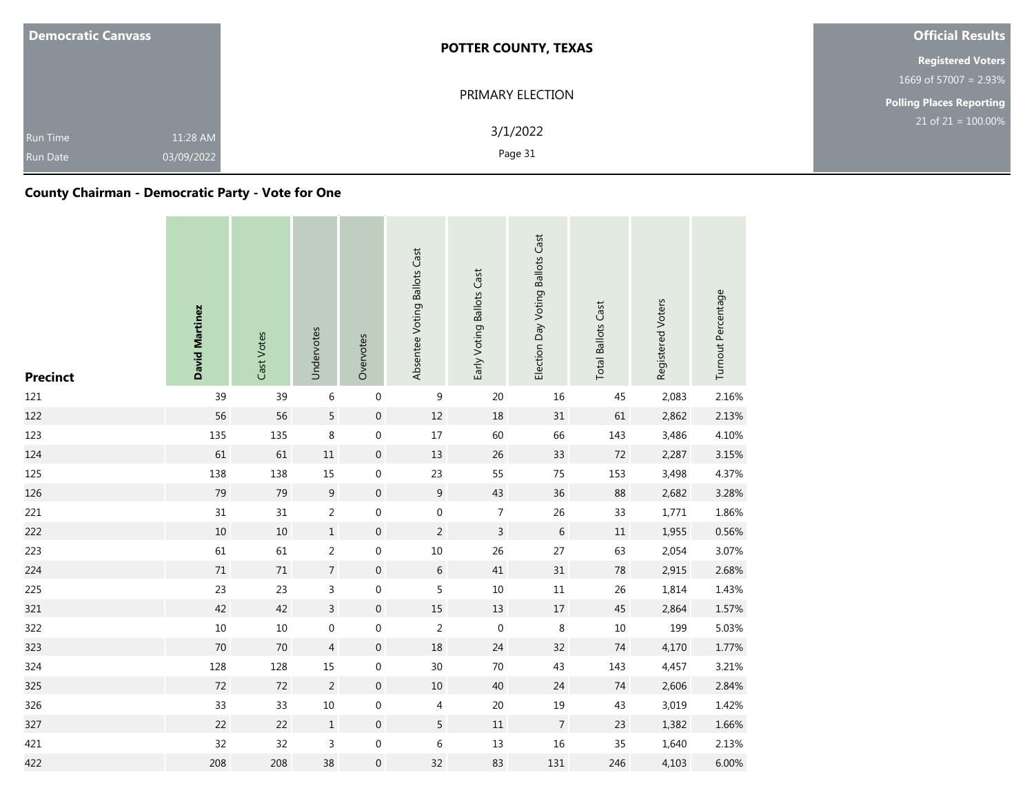| <b>Democratic Canvass</b>          |                        | <b>POTTER COUNTY, TEXAS</b> | <b>Official Results</b>  |
|------------------------------------|------------------------|-----------------------------|--------------------------|
|                                    |                        |                             | <b>Registered Voters</b> |
|                                    |                        |                             | 1669 of 57007 = $2.93\%$ |
|                                    |                        | PRIMARY ELECTION            | Polling Places Reporting |
| <b>Run Time</b><br><b>Run Date</b> | 11:28 AM<br>03/09/2022 | 3/1/2022<br>Page 31         | $21$ of 21 = 100.00%     |

## **County Chairman - Democratic Party - Vote for One**

| <b>Precinct</b> | David Martinez | Cast Votes | Undervotes       | Overvotes        | Absentee Voting Ballots Cast | Early Voting Ballots Cast | Election Day Voting Ballots Cast | <b>Total Ballots Cast</b> | Registered Voters | Turnout Percentage |
|-----------------|----------------|------------|------------------|------------------|------------------------------|---------------------------|----------------------------------|---------------------------|-------------------|--------------------|
| 121             | 39             | 39         | $\,6\,$          | $\,0\,$          | 9                            | 20                        | 16                               | 45                        | 2,083             | 2.16%              |
| 122             | 56             | 56         | 5                | $\boldsymbol{0}$ | $12\,$                       | 18                        | 31                               | 61                        | 2,862             | 2.13%              |
| 123             | 135            | 135        | $\,8\,$          | $\,0\,$          | $17\,$                       | 60                        | 66                               | 143                       | 3,486             | 4.10%              |
| 124             | 61             | 61         | $11\,$           | $\mathbf 0$      | 13                           | 26                        | 33                               | 72                        | 2,287             | 3.15%              |
| 125             | 138            | 138        | 15               | $\mathbf 0$      | 23                           | 55                        | 75                               | 153                       | 3,498             | 4.37%              |
| 126             | 79             | 79         | $9\,$            | $\mathbf 0$      | $9\,$                        | 43                        | 36                               | 88                        | 2,682             | 3.28%              |
| 221             | 31             | 31         | $\overline{2}$   | $\boldsymbol{0}$ | $\boldsymbol{0}$             | $\overline{7}$            | 26                               | 33                        | 1,771             | 1.86%              |
| 222             | $10\,$         | $10$       | $\,1$            | $\mathbf 0$      | $\overline{c}$               | $\overline{3}$            | $\,6\,$                          | $11\,$                    | 1,955             | 0.56%              |
| 223             | 61             | 61         | $\overline{2}$   | $\boldsymbol{0}$ | $10\,$                       | 26                        | 27                               | 63                        | 2,054             | 3.07%              |
| 224             | $71\,$         | $71\,$     | $\boldsymbol{7}$ | $\mathbf 0$      | $\boldsymbol{6}$             | 41                        | 31                               | $78\,$                    | 2,915             | 2.68%              |
| 225             | 23             | 23         | $\mathsf 3$      | $\,0\,$          | 5                            | $10\,$                    | $11\,$                           | 26                        | 1,814             | 1.43%              |
| 321             | 42             | 42         | $\overline{3}$   | $\boldsymbol{0}$ | $15\,$                       | $13\,$                    | 17                               | $45\,$                    | 2,864             | 1.57%              |
| 322             | $10\,$         | $10\,$     | $\boldsymbol{0}$ | $\boldsymbol{0}$ | $\sqrt{2}$                   | $\mathbf 0$               | $\,8\,$                          | $10\,$                    | 199               | 5.03%              |
| 323             | $70\,$         | 70         | $\overline{4}$   | $\mathbf 0$      | 18                           | 24                        | 32                               | $74\,$                    | 4,170             | 1.77%              |
| 324             | 128            | 128        | 15               | $\mathbf 0$      | 30                           | 70                        | 43                               | 143                       | 4,457             | 3.21%              |
| 325             | $72\,$         | 72         | $\overline{2}$   | $\mathbf 0$      | $10\,$                       | 40                        | 24                               | $74\,$                    | 2,606             | 2.84%              |
| 326             | 33             | 33         | $10\,$           | $\boldsymbol{0}$ | 4                            | $20\,$                    | 19                               | 43                        | 3,019             | 1.42%              |
| 327             | 22             | 22         | $\,1\,$          | $\,0\,$          | 5                            | $11\,$                    | $\overline{7}$                   | 23                        | 1,382             | 1.66%              |
| 421             | 32             | 32         | 3                | $\boldsymbol{0}$ | $\,$ 6 $\,$                  | $13\,$                    | 16                               | 35                        | 1,640             | 2.13%              |
| 422             | 208            | 208        | 38               | $\boldsymbol{0}$ | 32                           | 83                        | 131                              | 246                       | 4,103             | 6.00%              |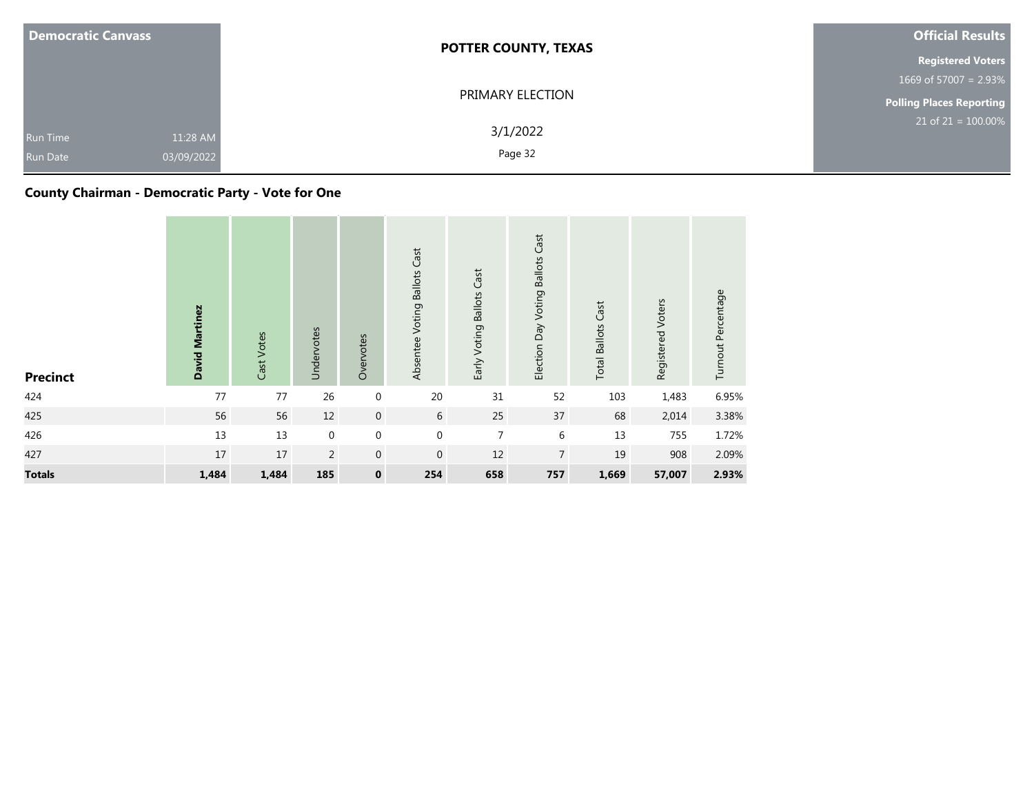| <b>Democratic Canvass</b>          |                        | <b>POTTER COUNTY, TEXAS</b> | <b>Official Results</b>  |
|------------------------------------|------------------------|-----------------------------|--------------------------|
|                                    |                        |                             | <b>Registered Voters</b> |
|                                    |                        |                             | 1669 of 57007 = $2.93\%$ |
|                                    |                        | PRIMARY ELECTION            | Polling Places Reporting |
| <b>Run Time</b><br><b>Run Date</b> | 11:28 AM<br>03/09/2022 | 3/1/2022<br>Page 32         | $21$ of $21 = 100.00\%$  |

## **County Chairman - Democratic Party - Vote for One**

| <b>Precinct</b> | David Martinez | Cast Votes | Undervotes  | Overvotes        | Absentee Voting Ballots Cast | Early Voting Ballots Cast | Election Day Voting Ballots Cast | <b>Total Ballots Cast</b> | Registered Voters | Turnout Percentage |
|-----------------|----------------|------------|-------------|------------------|------------------------------|---------------------------|----------------------------------|---------------------------|-------------------|--------------------|
| 424             | 77             | 77         | 26          | $\mathbf 0$      | $20\,$                       | 31                        | 52                               | 103                       | 1,483             | 6.95%              |
| 425             | 56             | 56         | 12          | $\boldsymbol{0}$ | $6\,$                        | 25                        | 37                               | 68                        | 2,014             | 3.38%              |
| 426             | 13             | 13         | $\mathbf 0$ | $\boldsymbol{0}$ | $\mathbf 0$                  | $\overline{7}$            | 6                                | 13                        | 755               | 1.72%              |
| 427             | 17             | 17         | 2           | $\boldsymbol{0}$ | $\mathbf{0}$                 | 12                        | $\overline{7}$                   | 19                        | 908               | 2.09%              |
| <b>Totals</b>   | 1,484          | 1,484      | 185         | $\mathbf 0$      | 254                          | 658                       | 757                              | 1,669                     | 57,007            | 2.93%              |